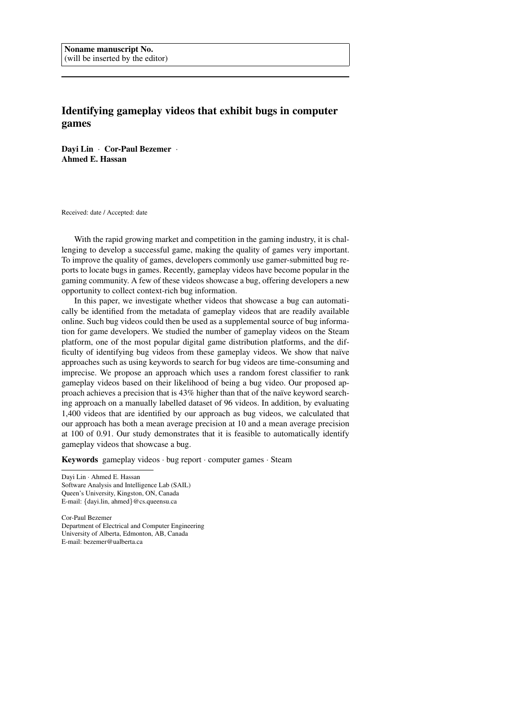# Identifying gameplay videos that exhibit bugs in computer games

Dayi Lin · Cor-Paul Bezemer · Ahmed E. Hassan

Received: date / Accepted: date

With the rapid growing market and competition in the gaming industry, it is challenging to develop a successful game, making the quality of games very important. To improve the quality of games, developers commonly use gamer-submitted bug reports to locate bugs in games. Recently, gameplay videos have become popular in the gaming community. A few of these videos showcase a bug, offering developers a new opportunity to collect context-rich bug information.

In this paper, we investigate whether videos that showcase a bug can automatically be identified from the metadata of gameplay videos that are readily available online. Such bug videos could then be used as a supplemental source of bug information for game developers. We studied the number of gameplay videos on the Steam platform, one of the most popular digital game distribution platforms, and the difficulty of identifying bug videos from these gameplay videos. We show that naïve approaches such as using keywords to search for bug videos are time-consuming and imprecise. We propose an approach which uses a random forest classifier to rank gameplay videos based on their likelihood of being a bug video. Our proposed approach achieves a precision that is 43% higher than that of the naïve keyword searching approach on a manually labelled dataset of 96 videos. In addition, by evaluating 1,400 videos that are identified by our approach as bug videos, we calculated that our approach has both a mean average precision at 10 and a mean average precision at 100 of 0.91. Our study demonstrates that it is feasible to automatically identify gameplay videos that showcase a bug.

**Keywords** gameplay videos  $\cdot$  bug report  $\cdot$  computer games  $\cdot$  Steam

Dayi Lin · Ahmed E. Hassan Software Analysis and Intelligence Lab (SAIL) Queen's University, Kingston, ON, Canada E-mail: {dayi.lin, ahmed}@cs.queensu.ca

Cor-Paul Bezemer Department of Electrical and Computer Engineering University of Alberta, Edmonton, AB, Canada E-mail: bezemer@ualberta.ca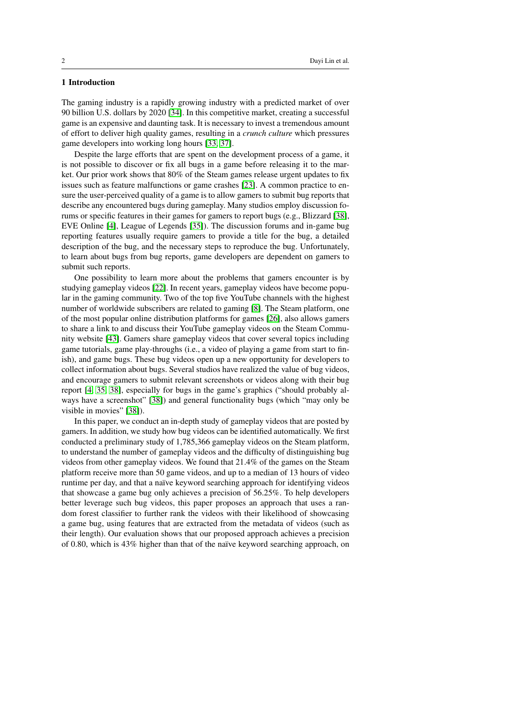# 1 Introduction

The gaming industry is a rapidly growing industry with a predicted market of over 90 billion U.S. dollars by 2020 [\[34\]](#page-29-0). In this competitive market, creating a successful game is an expensive and daunting task. It is necessary to invest a tremendous amount of effort to deliver high quality games, resulting in a *crunch culture* which pressures game developers into working long hours [\[33,](#page-29-1) [37\]](#page-30-0).

Despite the large efforts that are spent on the development process of a game, it is not possible to discover or fix all bugs in a game before releasing it to the market. Our prior work shows that 80% of the Steam games release urgent updates to fix issues such as feature malfunctions or game crashes [\[23\]](#page-29-2). A common practice to ensure the user-perceived quality of a game is to allow gamers to submit bug reports that describe any encountered bugs during gameplay. Many studios employ discussion forums or specific features in their games for gamers to report bugs (e.g., Blizzard [\[38\]](#page-30-1), EVE Online [\[4\]](#page-28-0), League of Legends [\[35\]](#page-29-3)). The discussion forums and in-game bug reporting features usually require gamers to provide a title for the bug, a detailed description of the bug, and the necessary steps to reproduce the bug. Unfortunately, to learn about bugs from bug reports, game developers are dependent on gamers to submit such reports.

One possibility to learn more about the problems that gamers encounter is by studying gameplay videos [\[22\]](#page-29-4). In recent years, gameplay videos have become popular in the gaming community. Two of the top five YouTube channels with the highest number of worldwide subscribers are related to gaming [\[8\]](#page-28-1). The Steam platform, one of the most popular online distribution platforms for games [\[26\]](#page-29-5), also allows gamers to share a link to and discuss their YouTube gameplay videos on the Steam Community website [\[43\]](#page-30-2). Gamers share gameplay videos that cover several topics including game tutorials, game play-throughs (i.e., a video of playing a game from start to finish), and game bugs. These bug videos open up a new opportunity for developers to collect information about bugs. Several studios have realized the value of bug videos, and encourage gamers to submit relevant screenshots or videos along with their bug report [\[4,](#page-28-0) [35,](#page-29-3) [38\]](#page-30-1), especially for bugs in the game's graphics ("should probably always have a screenshot" [\[38\]](#page-30-1)) and general functionality bugs (which "may only be visible in movies" [\[38\]](#page-30-1)).

In this paper, we conduct an in-depth study of gameplay videos that are posted by gamers. In addition, we study how bug videos can be identified automatically. We first conducted a preliminary study of 1,785,366 gameplay videos on the Steam platform, to understand the number of gameplay videos and the difficulty of distinguishing bug videos from other gameplay videos. We found that 21.4% of the games on the Steam platform receive more than 50 game videos, and up to a median of 13 hours of video runtime per day, and that a naïve keyword searching approach for identifying videos that showcase a game bug only achieves a precision of 56.25%. To help developers better leverage such bug videos, this paper proposes an approach that uses a random forest classifier to further rank the videos with their likelihood of showcasing a game bug, using features that are extracted from the metadata of videos (such as their length). Our evaluation shows that our proposed approach achieves a precision of 0.80, which is 43% higher than that of the naïve keyword searching approach, on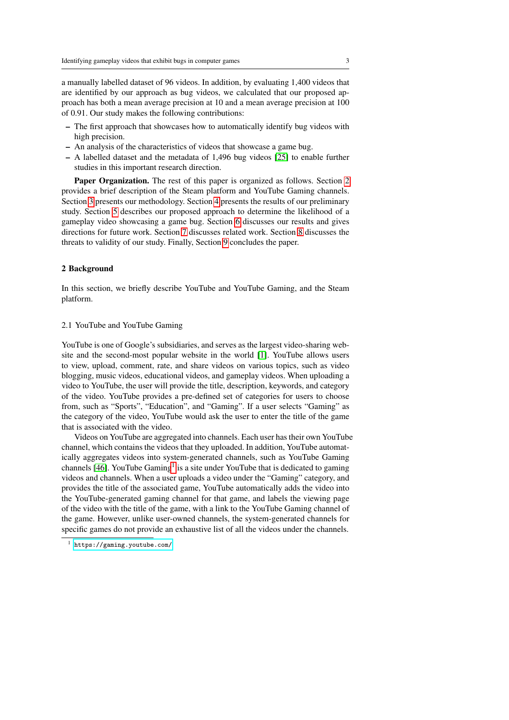a manually labelled dataset of 96 videos. In addition, by evaluating 1,400 videos that are identified by our approach as bug videos, we calculated that our proposed approach has both a mean average precision at 10 and a mean average precision at 100 of 0.91. Our study makes the following contributions:

- The first approach that showcases how to automatically identify bug videos with high precision.
- An analysis of the characteristics of videos that showcase a game bug.
- A labelled dataset and the metadata of 1,496 bug videos [\[25\]](#page-29-6) to enable further studies in this important research direction.

Paper Organization. The rest of this paper is organized as follows. Section [2](#page-2-0) provides a brief description of the Steam platform and YouTube Gaming channels. Section [3](#page-3-0) presents our methodology. Section [4](#page-7-0) presents the results of our preliminary study. Section [5](#page-13-0) describes our proposed approach to determine the likelihood of a gameplay video showcasing a game bug. Section [6](#page-22-0) discusses our results and gives directions for future work. Section [7](#page-24-0) discusses related work. Section [8](#page-26-0) discusses the threats to validity of our study. Finally, Section [9](#page-27-0) concludes the paper.

# <span id="page-2-0"></span>2 Background

In this section, we briefly describe YouTube and YouTube Gaming, and the Steam platform.

# 2.1 YouTube and YouTube Gaming

YouTube is one of Google's subsidiaries, and serves as the largest video-sharing website and the second-most popular website in the world [\[1\]](#page-27-1). YouTube allows users to view, upload, comment, rate, and share videos on various topics, such as video blogging, music videos, educational videos, and gameplay videos. When uploading a video to YouTube, the user will provide the title, description, keywords, and category of the video. YouTube provides a pre-defined set of categories for users to choose from, such as "Sports", "Education", and "Gaming". If a user selects "Gaming" as the category of the video, YouTube would ask the user to enter the title of the game that is associated with the video.

Videos on YouTube are aggregated into channels. Each user has their own YouTube channel, which contains the videos that they uploaded. In addition, YouTube automatically aggregates videos into system-generated channels, such as YouTube Gaming channels [\[46\]](#page-30-3). YouTube Gaming<sup>[1](#page-2-1)</sup> is a site under YouTube that is dedicated to gaming videos and channels. When a user uploads a video under the "Gaming" category, and provides the title of the associated game, YouTube automatically adds the video into the YouTube-generated gaming channel for that game, and labels the viewing page of the video with the title of the game, with a link to the YouTube Gaming channel of the game. However, unlike user-owned channels, the system-generated channels for specific games do not provide an exhaustive list of all the videos under the channels.

<span id="page-2-1"></span><sup>1</sup> <https://gaming.youtube.com/>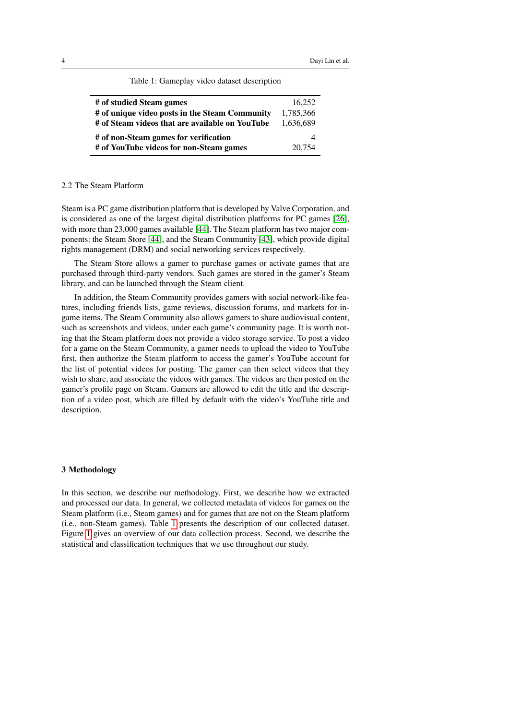<span id="page-3-1"></span>

| # of studied Steam games                        | 16.252    |
|-------------------------------------------------|-----------|
| # of unique video posts in the Steam Community  | 1,785,366 |
| # of Steam videos that are available on YouTube | 1.636.689 |
| # of non-Steam games for verification           |           |
| # of YouTube videos for non-Steam games         | 20,754    |

Table 1: Gameplay video dataset description

# 2.2 The Steam Platform

Steam is a PC game distribution platform that is developed by Valve Corporation, and is considered as one of the largest digital distribution platforms for PC games [\[26\]](#page-29-5), with more than 23,000 games available [\[44\]](#page-30-4). The Steam platform has two major components: the Steam Store [\[44\]](#page-30-4), and the Steam Community [\[43\]](#page-30-2), which provide digital rights management (DRM) and social networking services respectively.

The Steam Store allows a gamer to purchase games or activate games that are purchased through third-party vendors. Such games are stored in the gamer's Steam library, and can be launched through the Steam client.

In addition, the Steam Community provides gamers with social network-like features, including friends lists, game reviews, discussion forums, and markets for ingame items. The Steam Community also allows gamers to share audiovisual content, such as screenshots and videos, under each game's community page. It is worth noting that the Steam platform does not provide a video storage service. To post a video for a game on the Steam Community, a gamer needs to upload the video to YouTube first, then authorize the Steam platform to access the gamer's YouTube account for the list of potential videos for posting. The gamer can then select videos that they wish to share, and associate the videos with games. The videos are then posted on the gamer's profile page on Steam. Gamers are allowed to edit the title and the description of a video post, which are filled by default with the video's YouTube title and description.

#### <span id="page-3-0"></span>3 Methodology

In this section, we describe our methodology. First, we describe how we extracted and processed our data. In general, we collected metadata of videos for games on the Steam platform (i.e., Steam games) and for games that are not on the Steam platform (i.e., non-Steam games). Table [1](#page-3-1) presents the description of our collected dataset. Figure [1](#page-4-0) gives an overview of our data collection process. Second, we describe the statistical and classification techniques that we use throughout our study.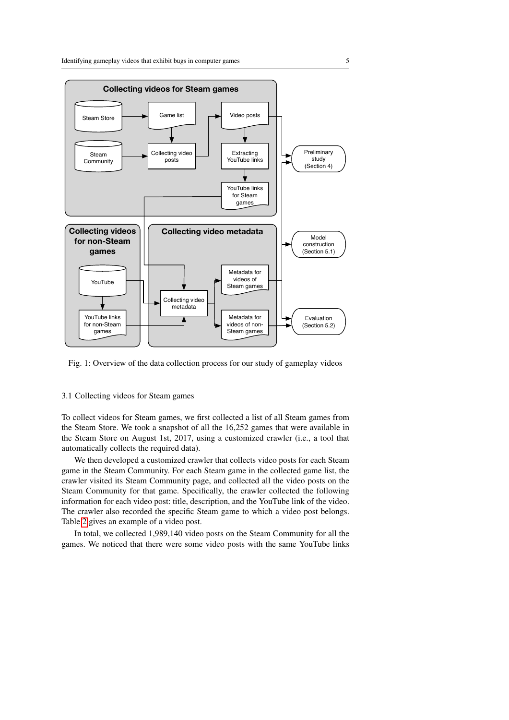<span id="page-4-0"></span>

Fig. 1: Overview of the data collection process for our study of gameplay videos

# <span id="page-4-1"></span>3.1 Collecting videos for Steam games

To collect videos for Steam games, we first collected a list of all Steam games from the Steam Store. We took a snapshot of all the 16,252 games that were available in the Steam Store on August 1st, 2017, using a customized crawler (i.e., a tool that automatically collects the required data).

We then developed a customized crawler that collects video posts for each Steam game in the Steam Community. For each Steam game in the collected game list, the crawler visited its Steam Community page, and collected all the video posts on the Steam Community for that game. Specifically, the crawler collected the following information for each video post: title, description, and the YouTube link of the video. The crawler also recorded the specific Steam game to which a video post belongs. Table [2](#page-5-0) gives an example of a video post.

In total, we collected 1,989,140 video posts on the Steam Community for all the games. We noticed that there were some video posts with the same YouTube links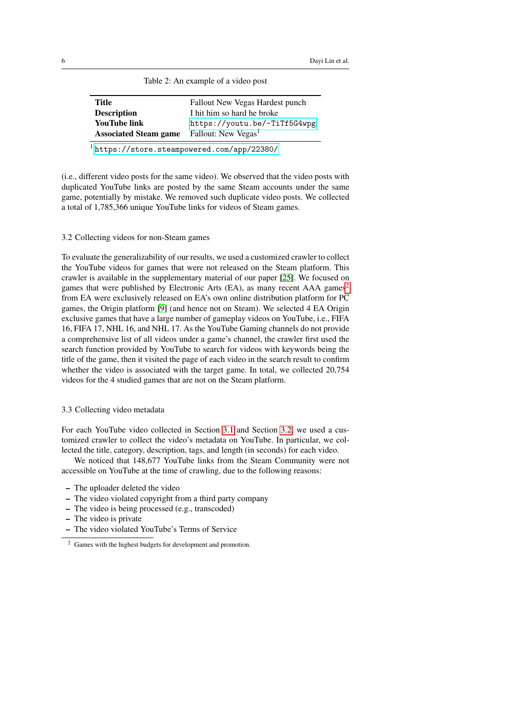<span id="page-5-0"></span>

| Title                        | Fallout New Vegas Hardest punch |
|------------------------------|---------------------------------|
| <b>Description</b>           | I hit him so hard he broke      |
| <b>YouTube link</b>          | https://youtu.be/-TiTf5G4wpg    |
| <b>Associated Steam game</b> | Fallout: New Vegas <sup>1</sup> |

Table 2: An example of a video post

<sup>1</sup> <https://store.steampowered.com/app/22380/>

(i.e., different video posts for the same video). We observed that the video posts with duplicated YouTube links are posted by the same Steam accounts under the same game, potentially by mistake. We removed such duplicate video posts. We collected a total of 1,785,366 unique YouTube links for videos of Steam games.

<span id="page-5-2"></span>3.2 Collecting videos for non-Steam games

To evaluate the generalizability of our results, we used a customized crawler to collect the YouTube videos for games that were not released on the Steam platform. This crawler is available in the supplementary material of our paper [\[25\]](#page-29-6). We focused on games that were published by Electronic Arts (EA), as many recent AAA games<sup>[2](#page-5-1)</sup> from EA were exclusively released on EA's own online distribution platform for PC games, the Origin platform [\[9\]](#page-28-2) (and hence not on Steam). We selected 4 EA Origin exclusive games that have a large number of gameplay videos on YouTube, i.e., FIFA 16, FIFA 17, NHL 16, and NHL 17. As the YouTube Gaming channels do not provide a comprehensive list of all videos under a game's channel, the crawler first used the search function provided by YouTube to search for videos with keywords being the title of the game, then it visited the page of each video in the search result to confirm whether the video is associated with the target game. In total, we collected 20,754 videos for the 4 studied games that are not on the Steam platform.

# 3.3 Collecting video metadata

For each YouTube video collected in Section [3.1](#page-4-1) and Section [3.2,](#page-5-2) we used a customized crawler to collect the video's metadata on YouTube. In particular, we collected the title, category, description, tags, and length (in seconds) for each video.

We noticed that 148,677 YouTube links from the Steam Community were not accessible on YouTube at the time of crawling, due to the following reasons:

- The uploader deleted the video
- The video violated copyright from a third party company
- The video is being processed (e.g., transcoded)
- The video is private
- The video violated YouTube's Terms of Service

<span id="page-5-1"></span><sup>2</sup> Games with the highest budgets for development and promotion.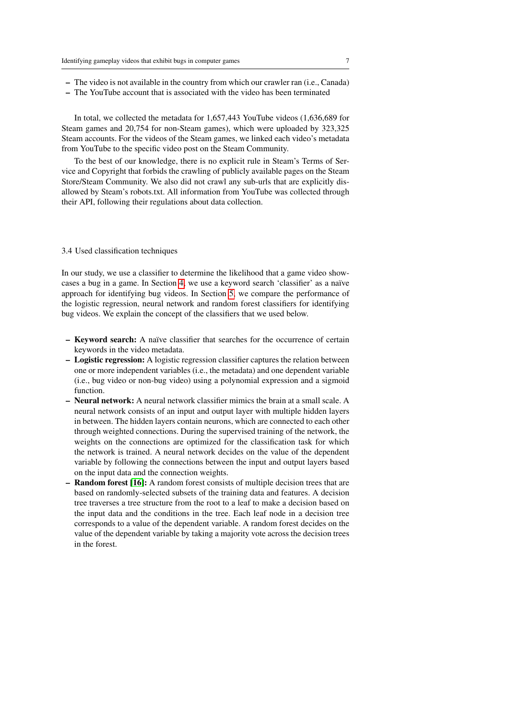- The video is not available in the country from which our crawler ran (i.e., Canada)
- The YouTube account that is associated with the video has been terminated

In total, we collected the metadata for 1,657,443 YouTube videos (1,636,689 for Steam games and 20,754 for non-Steam games), which were uploaded by 323,325 Steam accounts. For the videos of the Steam games, we linked each video's metadata from YouTube to the specific video post on the Steam Community.

To the best of our knowledge, there is no explicit rule in Steam's Terms of Service and Copyright that forbids the crawling of publicly available pages on the Steam Store/Steam Community. We also did not crawl any sub-urls that are explicitly disallowed by Steam's robots.txt. All information from YouTube was collected through their API, following their regulations about data collection.

#### 3.4 Used classification techniques

In our study, we use a classifier to determine the likelihood that a game video show-cases a bug in a game. In Section [4,](#page-7-0) we use a keyword search 'classifier' as a naïve approach for identifying bug videos. In Section [5,](#page-13-0) we compare the performance of the logistic regression, neural network and random forest classifiers for identifying bug videos. We explain the concept of the classifiers that we used below.

- **Keyword search:** A naïve classifier that searches for the occurrence of certain keywords in the video metadata.
- Logistic regression: A logistic regression classifier captures the relation between one or more independent variables (i.e., the metadata) and one dependent variable (i.e., bug video or non-bug video) using a polynomial expression and a sigmoid function.
- Neural network: A neural network classifier mimics the brain at a small scale. A neural network consists of an input and output layer with multiple hidden layers in between. The hidden layers contain neurons, which are connected to each other through weighted connections. During the supervised training of the network, the weights on the connections are optimized for the classification task for which the network is trained. A neural network decides on the value of the dependent variable by following the connections between the input and output layers based on the input data and the connection weights.
- **Random forest [\[16\]](#page-28-3):** A random forest consists of multiple decision trees that are based on randomly-selected subsets of the training data and features. A decision tree traverses a tree structure from the root to a leaf to make a decision based on the input data and the conditions in the tree. Each leaf node in a decision tree corresponds to a value of the dependent variable. A random forest decides on the value of the dependent variable by taking a majority vote across the decision trees in the forest.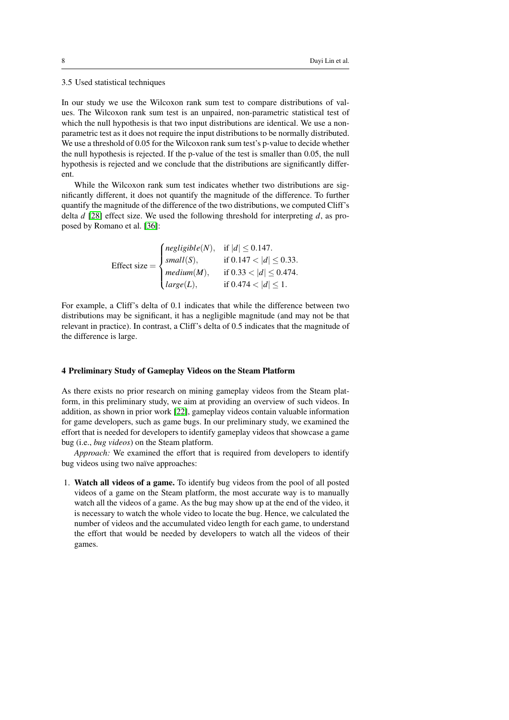3.5 Used statistical techniques

In our study we use the Wilcoxon rank sum test to compare distributions of values. The Wilcoxon rank sum test is an unpaired, non-parametric statistical test of which the null hypothesis is that two input distributions are identical. We use a nonparametric test as it does not require the input distributions to be normally distributed. We use a threshold of 0.05 for the Wilcoxon rank sum test's p-value to decide whether the null hypothesis is rejected. If the p-value of the test is smaller than 0.05, the null hypothesis is rejected and we conclude that the distributions are significantly different.

While the Wilcoxon rank sum test indicates whether two distributions are significantly different, it does not quantify the magnitude of the difference. To further quantify the magnitude of the difference of the two distributions, we computed Cliff's delta *d* [\[28\]](#page-29-7) effect size. We used the following threshold for interpreting *d*, as proposed by Romano et al. [\[36\]](#page-29-8):

$$
\text{Effect size} = \begin{cases} \text{negligible}(N), & \text{if } |d| \leq 0.147. \\ \text{small}(S), & \text{if } 0.147 < |d| \leq 0.33. \\ \text{medium}(M), & \text{if } 0.33 < |d| \leq 0.474. \\ \text{large}(L), & \text{if } 0.474 < |d| \leq 1. \end{cases}
$$

For example, a Cliff's delta of 0.1 indicates that while the difference between two distributions may be significant, it has a negligible magnitude (and may not be that relevant in practice). In contrast, a Cliff's delta of 0.5 indicates that the magnitude of the difference is large.

# <span id="page-7-0"></span>4 Preliminary Study of Gameplay Videos on the Steam Platform

As there exists no prior research on mining gameplay videos from the Steam platform, in this preliminary study, we aim at providing an overview of such videos. In addition, as shown in prior work [\[22\]](#page-29-4), gameplay videos contain valuable information for game developers, such as game bugs. In our preliminary study, we examined the effort that is needed for developers to identify gameplay videos that showcase a game bug (i.e., *bug videos*) on the Steam platform.

*Approach:* We examined the effort that is required from developers to identify bug videos using two naïve approaches:

1. Watch all videos of a game. To identify bug videos from the pool of all posted videos of a game on the Steam platform, the most accurate way is to manually watch all the videos of a game. As the bug may show up at the end of the video, it is necessary to watch the whole video to locate the bug. Hence, we calculated the number of videos and the accumulated video length for each game, to understand the effort that would be needed by developers to watch all the videos of their games.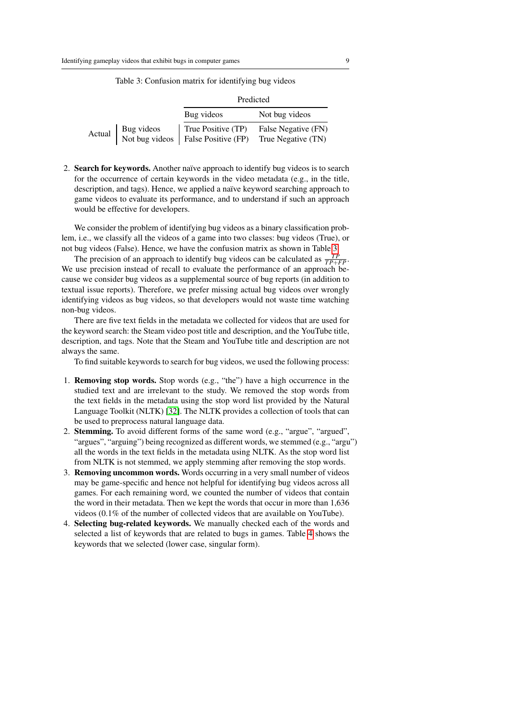<span id="page-8-0"></span>

|        |  | Predicted                                                                                 |                                           |  |  |  |  |
|--------|--|-------------------------------------------------------------------------------------------|-------------------------------------------|--|--|--|--|
|        |  | Bug videos                                                                                | Not bug videos                            |  |  |  |  |
| Actual |  | True Positive (TP)<br>Bug videos True Positive (TP)<br>Not bug videos False Positive (FP) | False Negative (FN)<br>True Negative (TN) |  |  |  |  |

Table 3: Confusion matrix for identifying bug videos

2. Search for keywords. Another naïve approach to identify bug videos is to search for the occurrence of certain keywords in the video metadata (e.g., in the title, description, and tags). Hence, we applied a naïve keyword searching approach to game videos to evaluate its performance, and to understand if such an approach would be effective for developers.

We consider the problem of identifying bug videos as a binary classification problem, i.e., we classify all the videos of a game into two classes: bug videos (True), or not bug videos (False). Hence, we have the confusion matrix as shown in Table [3.](#page-8-0)

The precision of an approach to identify bug videos can be calculated as  $\frac{TP}{TP+FP}$ . We use precision instead of recall to evaluate the performance of an approach because we consider bug videos as a supplemental source of bug reports (in addition to textual issue reports). Therefore, we prefer missing actual bug videos over wrongly identifying videos as bug videos, so that developers would not waste time watching non-bug videos.

There are five text fields in the metadata we collected for videos that are used for the keyword search: the Steam video post title and description, and the YouTube title, description, and tags. Note that the Steam and YouTube title and description are not always the same.

To find suitable keywords to search for bug videos, we used the following process:

- 1. Removing stop words. Stop words (e.g., "the") have a high occurrence in the studied text and are irrelevant to the study. We removed the stop words from the text fields in the metadata using the stop word list provided by the Natural Language Toolkit (NLTK) [\[32\]](#page-29-9). The NLTK provides a collection of tools that can be used to preprocess natural language data.
- 2. Stemming. To avoid different forms of the same word (e.g., "argue", "argued", "argues", "arguing") being recognized as different words, we stemmed (e.g., "argu") all the words in the text fields in the metadata using NLTK. As the stop word list from NLTK is not stemmed, we apply stemming after removing the stop words.
- 3. Removing uncommon words. Words occurring in a very small number of videos may be game-specific and hence not helpful for identifying bug videos across all games. For each remaining word, we counted the number of videos that contain the word in their metadata. Then we kept the words that occur in more than 1,636 videos (0.1% of the number of collected videos that are available on YouTube).
- 4. Selecting bug-related keywords. We manually checked each of the words and selected a list of keywords that are related to bugs in games. Table [4](#page-9-0) shows the keywords that we selected (lower case, singular form).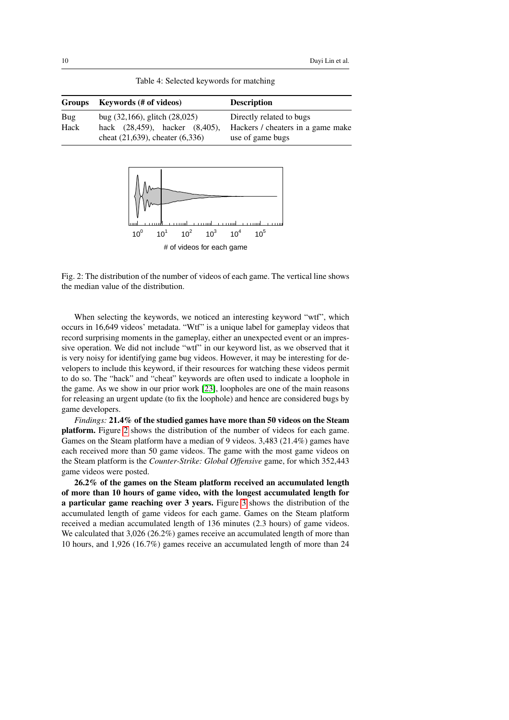<span id="page-9-1"></span><span id="page-9-0"></span>

| <b>Groups</b> | <b>Keywords</b> (# of videos)                                                                                | <b>Description</b>                                                                |
|---------------|--------------------------------------------------------------------------------------------------------------|-----------------------------------------------------------------------------------|
| Bug<br>Hack   | bug $(32,166)$ , glitch $(28,025)$<br>hack (28,459), hacker (8,405),<br>cheat $(21,639)$ , cheater $(6,336)$ | Directly related to bugs<br>Hackers / cheaters in a game make<br>use of game bugs |

Table 4: Selected keywords for matching



Fig. 2: The distribution of the number of videos of each game. The vertical line shows the median value of the distribution.

When selecting the keywords, we noticed an interesting keyword "wtf", which occurs in 16,649 videos' metadata. "Wtf" is a unique label for gameplay videos that record surprising moments in the gameplay, either an unexpected event or an impressive operation. We did not include "wtf" in our keyword list, as we observed that it is very noisy for identifying game bug videos. However, it may be interesting for developers to include this keyword, if their resources for watching these videos permit to do so. The "hack" and "cheat" keywords are often used to indicate a loophole in the game. As we show in our prior work [\[23\]](#page-29-2), loopholes are one of the main reasons for releasing an urgent update (to fix the loophole) and hence are considered bugs by game developers.

*Findings:* 21.4% of the studied games have more than 50 videos on the Steam platform. Figure [2](#page-9-1) shows the distribution of the number of videos for each game. Games on the Steam platform have a median of 9 videos. 3,483 (21.4%) games have each received more than 50 game videos. The game with the most game videos on the Steam platform is the *Counter-Strike: Global Offensive* game, for which 352,443 game videos were posted.

26.2% of the games on the Steam platform received an accumulated length of more than 10 hours of game video, with the longest accumulated length for a particular game reaching over 3 years. Figure [3](#page-10-0) shows the distribution of the accumulated length of game videos for each game. Games on the Steam platform received a median accumulated length of 136 minutes (2.3 hours) of game videos. We calculated that 3,026 (26.2%) games receive an accumulated length of more than 10 hours, and 1,926 (16.7%) games receive an accumulated length of more than 24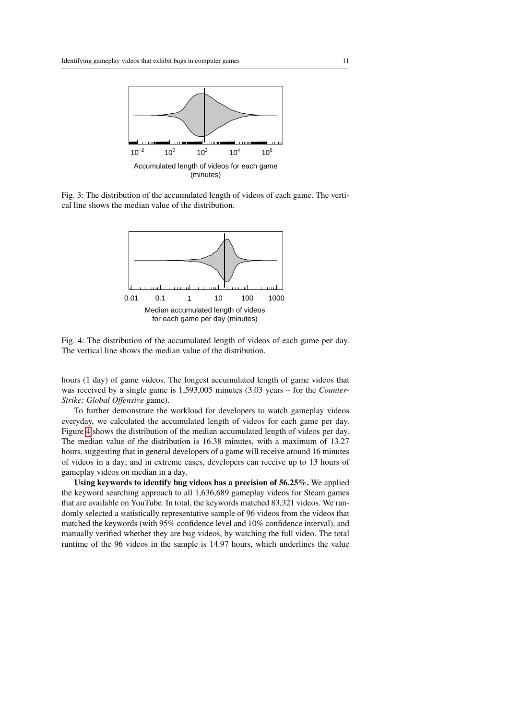<span id="page-10-0"></span>

<span id="page-10-1"></span>Fig. 3: The distribution of the accumulated length of videos of each game. The vertical line shows the median value of the distribution.



Fig. 4: The distribution of the accumulated length of videos of each game per day. The vertical line shows the median value of the distribution.

hours (1 day) of game videos. The longest accumulated length of game videos that was received by a single game is 1,593,005 minutes (3.03 years – for the *Counter-Strike: Global Offensive* game).

To further demonstrate the workload for developers to watch gameplay videos everyday, we calculated the accumulated length of videos for each game per day. Figure [4](#page-10-1) shows the distribution of the median accumulated length of videos per day. The median value of the distribution is 16.38 minutes, with a maximum of 13.27 hours, suggesting that in general developers of a game will receive around 16 minutes of videos in a day; and in extreme cases, developers can receive up to 13 hours of gameplay videos on median in a day.

Using keywords to identify bug videos has a precision of 56.25%. We applied the keyword searching approach to all 1,636,689 gameplay videos for Steam games that are available on YouTube. In total, the keywords matched 83,321 videos. We randomly selected a statistically representative sample of 96 videos from the videos that matched the keywords (with 95% confidence level and 10% confidence interval), and manually verified whether they are bug videos, by watching the full video. The total runtime of the 96 videos in the sample is 14.97 hours, which underlines the value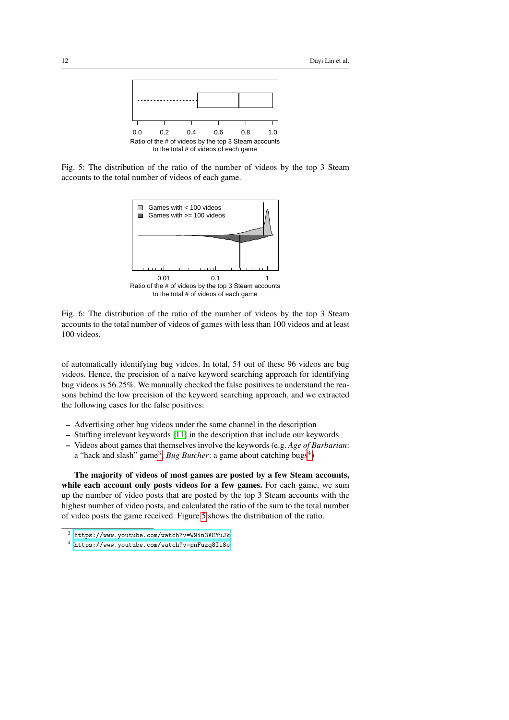<span id="page-11-2"></span>

<span id="page-11-3"></span>Fig. 5: The distribution of the ratio of the number of videos by the top 3 Steam accounts to the total number of videos of each game.



Fig. 6: The distribution of the ratio of the number of videos by the top 3 Steam accounts to the total number of videos of games with less than 100 videos and at least 100 videos.

of automatically identifying bug videos. In total, 54 out of these 96 videos are bug videos. Hence, the precision of a naïve keyword searching approach for identifying bug videos is 56.25%. We manually checked the false positives to understand the reasons behind the low precision of the keyword searching approach, and we extracted the following cases for the false positives:

- Advertising other bug videos under the same channel in the description
- Stuffing irrelevant keywords [\[11\]](#page-28-4) in the description that include our keywords
- Videos about games that themselves involve the keywords (e.g. *Age of Barbarian*: a "hack and slash" game<sup>[3](#page-11-0)</sup>; *Bug Butcher*: a game about catching bugs<sup>[4](#page-11-1)</sup>)

The majority of videos of most games are posted by a few Steam accounts, while each account only posts videos for a few games. For each game, we sum up the number of video posts that are posted by the top 3 Steam accounts with the highest number of video posts, and calculated the ratio of the sum to the total number of video posts the game received. Figure [5](#page-11-2) shows the distribution of the ratio.

<span id="page-11-0"></span><sup>3</sup> <https://www.youtube.com/watch?v=W9in3AEYuJk>

<span id="page-11-1"></span><sup>4</sup> <https://www.youtube.com/watch?v=pnFuzq8Ii8o>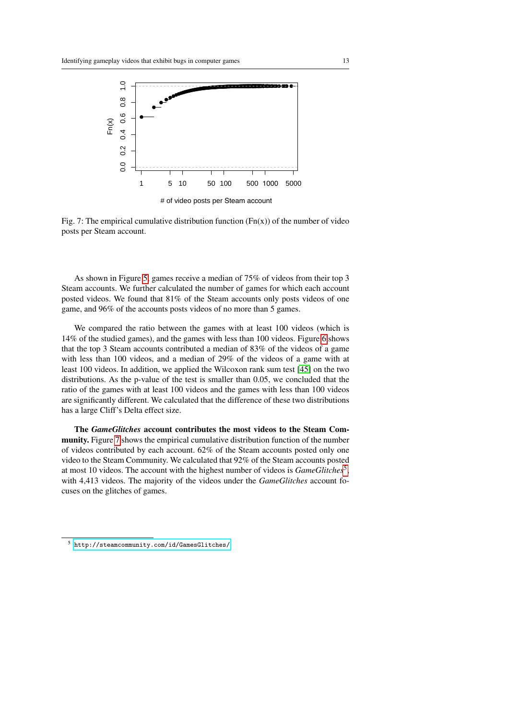<span id="page-12-0"></span>

Fig. 7: The empirical cumulative distribution function  $(Fn(x))$  of the number of video posts per Steam account.

As shown in Figure [5,](#page-11-2) games receive a median of 75% of videos from their top 3 Steam accounts. We further calculated the number of games for which each account posted videos. We found that 81% of the Steam accounts only posts videos of one game, and 96% of the accounts posts videos of no more than 5 games.

We compared the ratio between the games with at least 100 videos (which is 14% of the studied games), and the games with less than 100 videos. Figure [6](#page-11-3) shows that the top 3 Steam accounts contributed a median of 83% of the videos of a game with less than 100 videos, and a median of 29% of the videos of a game with at least 100 videos. In addition, we applied the Wilcoxon rank sum test [\[45\]](#page-30-5) on the two distributions. As the p-value of the test is smaller than 0.05, we concluded that the ratio of the games with at least 100 videos and the games with less than 100 videos are significantly different. We calculated that the difference of these two distributions has a large Cliff's Delta effect size.

The *GameGlitches* account contributes the most videos to the Steam Community. Figure [7](#page-12-0) shows the empirical cumulative distribution function of the number of videos contributed by each account. 62% of the Steam accounts posted only one video to the Steam Community. We calculated that 92% of the Steam accounts posted at most 10 videos. The account with the highest number of videos is *GameGlitches*[5](#page-12-1) , with 4,413 videos. The majority of the videos under the *GameGlitches* account focuses on the glitches of games.

<span id="page-12-1"></span> $^5$ <http://steamcommunity.com/id/GamesGlitches/>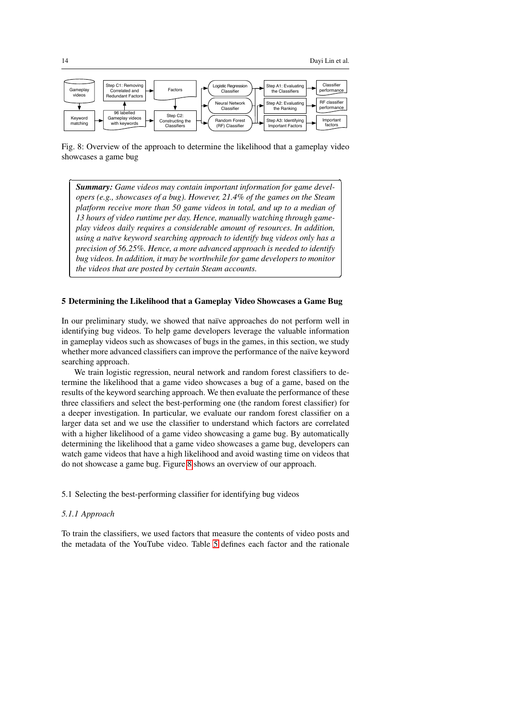<sup>1</sup>

✁

<span id="page-13-1"></span>

Fig. 8: Overview of the approach to determine the likelihood that a gameplay video showcases a game bug

*Summary: Game videos may contain important information for game developers (e.g., showcases of a bug). However, 21.4% of the games on the Steam platform receive more than 50 game videos in total, and up to a median of 13 hours of video runtime per day. Hence, manually watching through gameplay videos daily requires a considerable amount of resources. In addition, using a naïve keyword searching approach to identify bug videos only has a precision of 56.25%. Hence, a more advanced approach is needed to identify bug videos. In addition, it may be worthwhile for game developers to monitor the videos that are posted by certain Steam accounts.*

#### <span id="page-13-0"></span>5 Determining the Likelihood that a Gameplay Video Showcases a Game Bug

In our preliminary study, we showed that naïve approaches do not perform well in identifying bug videos. To help game developers leverage the valuable information in gameplay videos such as showcases of bugs in the games, in this section, we study whether more advanced classifiers can improve the performance of the naïve keyword searching approach.

We train logistic regression, neural network and random forest classifiers to determine the likelihood that a game video showcases a bug of a game, based on the results of the keyword searching approach. We then evaluate the performance of these three classifiers and select the best-performing one (the random forest classifier) for a deeper investigation. In particular, we evaluate our random forest classifier on a larger data set and we use the classifier to understand which factors are correlated with a higher likelihood of a game video showcasing a game bug. By automatically determining the likelihood that a game video showcases a game bug, developers can watch game videos that have a high likelihood and avoid wasting time on videos that do not showcase a game bug. Figure [8](#page-13-1) shows an overview of our approach.

#### 5.1 Selecting the best-performing classifier for identifying bug videos

# *5.1.1 Approach*

To train the classifiers, we used factors that measure the contents of video posts and the metadata of the YouTube video. Table [5](#page-15-0) defines each factor and the rationale

✄

 $\overline{a}$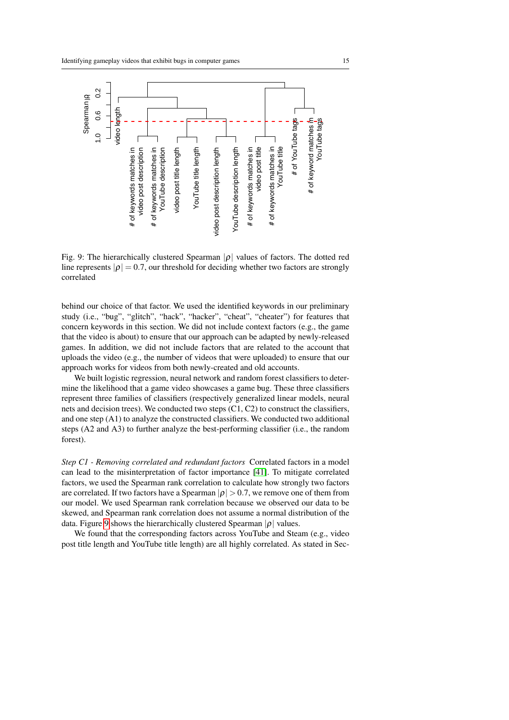<span id="page-14-0"></span>

Fig. 9: The hierarchically clustered Spearman  $|\rho|$  values of factors. The dotted red line represents  $|\rho| = 0.7$ , our threshold for deciding whether two factors are strongly correlated

behind our choice of that factor. We used the identified keywords in our preliminary study (i.e., "bug", "glitch", "hack", "hacker", "cheat", "cheater") for features that concern keywords in this section. We did not include context factors (e.g., the game that the video is about) to ensure that our approach can be adapted by newly-released games. In addition, we did not include factors that are related to the account that uploads the video (e.g., the number of videos that were uploaded) to ensure that our approach works for videos from both newly-created and old accounts.

We built logistic regression, neural network and random forest classifiers to determine the likelihood that a game video showcases a game bug. These three classifiers represent three families of classifiers (respectively generalized linear models, neural nets and decision trees). We conducted two steps (C1, C2) to construct the classifiers, and one step (A1) to analyze the constructed classifiers. We conducted two additional steps (A2 and A3) to further analyze the best-performing classifier (i.e., the random forest).

*Step C1 - Removing correlated and redundant factors* Correlated factors in a model can lead to the misinterpretation of factor importance [\[41\]](#page-30-6). To mitigate correlated factors, we used the Spearman rank correlation to calculate how strongly two factors are correlated. If two factors have a Spearman  $|\rho| > 0.7$ , we remove one of them from our model. We used Spearman rank correlation because we observed our data to be skewed, and Spearman rank correlation does not assume a normal distribution of the data. Figure [9](#page-14-0) shows the hierarchically clustered Spearman  $|\rho|$  values.

We found that the corresponding factors across YouTube and Steam (e.g., video post title length and YouTube title length) are all highly correlated. As stated in Sec-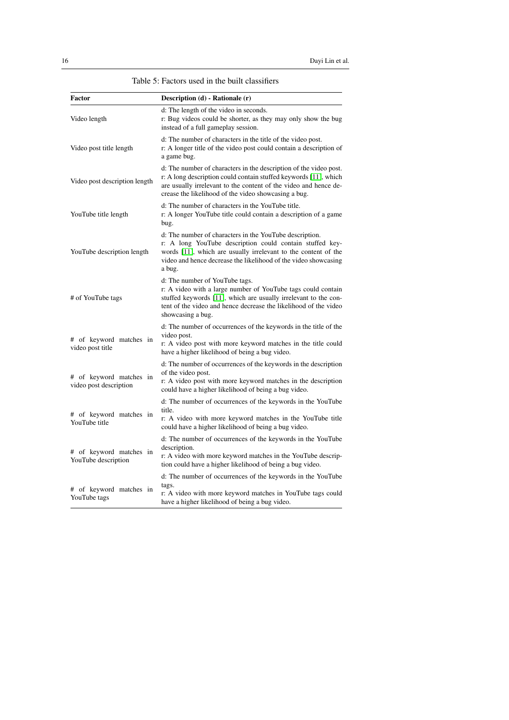<span id="page-15-0"></span>

| Factor                                            | Description (d) - Rationale (r)                                                                                                                                                                                                                                    |
|---------------------------------------------------|--------------------------------------------------------------------------------------------------------------------------------------------------------------------------------------------------------------------------------------------------------------------|
| Video length                                      | d: The length of the video in seconds.<br>r: Bug videos could be shorter, as they may only show the bug<br>instead of a full gameplay session.                                                                                                                     |
| Video post title length                           | d: The number of characters in the title of the video post.<br>r: A longer title of the video post could contain a description of<br>a game bug.                                                                                                                   |
| Video post description length                     | d: The number of characters in the description of the video post.<br>r: A long description could contain stuffed keywords [11], which<br>are usually irrelevant to the content of the video and hence de-<br>crease the likelihood of the video showcasing a bug.  |
| YouTube title length                              | d: The number of characters in the YouTube title.<br>r: A longer YouTube title could contain a description of a game<br>bug.                                                                                                                                       |
| YouTube description length                        | d: The number of characters in the YouTube description.<br>r: A long YouTube description could contain stuffed key-<br>words [11], which are usually irrelevant to the content of the<br>video and hence decrease the likelihood of the video showcasing<br>a bug. |
| # of YouTube tags                                 | d: The number of YouTube tags.<br>r: A video with a large number of YouTube tags could contain<br>stuffed keywords [11], which are usually irrelevant to the con-<br>tent of the video and hence decrease the likelihood of the video<br>showcasing a bug.         |
| # of keyword matches in<br>video post title       | d: The number of occurrences of the keywords in the title of the<br>video post.<br>r: A video post with more keyword matches in the title could<br>have a higher likelihood of being a bug video.                                                                  |
| # of keyword matches in<br>video post description | d: The number of occurrences of the keywords in the description<br>of the video post.<br>r: A video post with more keyword matches in the description<br>could have a higher likelihood of being a bug video.                                                      |
| # of keyword matches in<br>YouTube title          | d: The number of occurrences of the keywords in the YouTube<br>title.<br>r: A video with more keyword matches in the YouTube title<br>could have a higher likelihood of being a bug video.                                                                         |
| # of keyword matches in<br>YouTube description    | d: The number of occurrences of the keywords in the YouTube<br>description.<br>r: A video with more keyword matches in the YouTube descrip-<br>tion could have a higher likelihood of being a bug video.                                                           |
| # of keyword matches in<br>YouTube tags           | d: The number of occurrences of the keywords in the YouTube<br>tags.<br>r: A video with more keyword matches in YouTube tags could<br>have a higher likelihood of being a bug video.                                                                               |

Table 5: Factors used in the built classifiers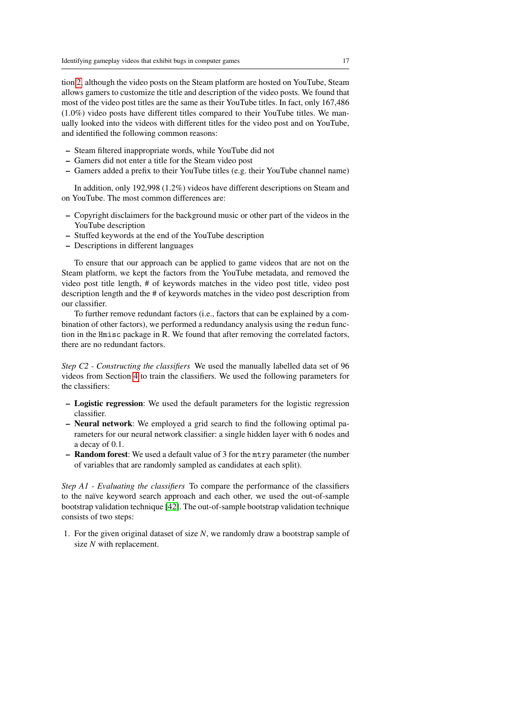tion [2,](#page-2-0) although the video posts on the Steam platform are hosted on YouTube, Steam allows gamers to customize the title and description of the video posts. We found that most of the video post titles are the same as their YouTube titles. In fact, only 167,486 (1.0%) video posts have different titles compared to their YouTube titles. We manually looked into the videos with different titles for the video post and on YouTube, and identified the following common reasons:

- Steam filtered inappropriate words, while YouTube did not
- Gamers did not enter a title for the Steam video post
- Gamers added a prefix to their YouTube titles (e.g. their YouTube channel name)

In addition, only 192,998 (1.2%) videos have different descriptions on Steam and on YouTube. The most common differences are:

- Copyright disclaimers for the background music or other part of the videos in the YouTube description
- Stuffed keywords at the end of the YouTube description
- Descriptions in different languages

To ensure that our approach can be applied to game videos that are not on the Steam platform, we kept the factors from the YouTube metadata, and removed the video post title length, # of keywords matches in the video post title, video post description length and the # of keywords matches in the video post description from our classifier.

To further remove redundant factors (i.e., factors that can be explained by a combination of other factors), we performed a redundancy analysis using the redun function in the Hmisc package in R. We found that after removing the correlated factors, there are no redundant factors.

*Step C2 - Constructing the classifiers* We used the manually labelled data set of 96 videos from Section [4](#page-7-0) to train the classifiers. We used the following parameters for the classifiers:

- Logistic regression: We used the default parameters for the logistic regression classifier.
- Neural network: We employed a grid search to find the following optimal parameters for our neural network classifier: a single hidden layer with 6 nodes and a decay of 0.1.
- Random forest: We used a default value of 3 for the mtry parameter (the number of variables that are randomly sampled as candidates at each split).

*Step A1 - Evaluating the classifiers* To compare the performance of the classifiers to the naïve keyword search approach and each other, we used the out-of-sample bootstrap validation technique [\[42\]](#page-30-7). The out-of-sample bootstrap validation technique consists of two steps:

1. For the given original dataset of size *N*, we randomly draw a bootstrap sample of size *N* with replacement.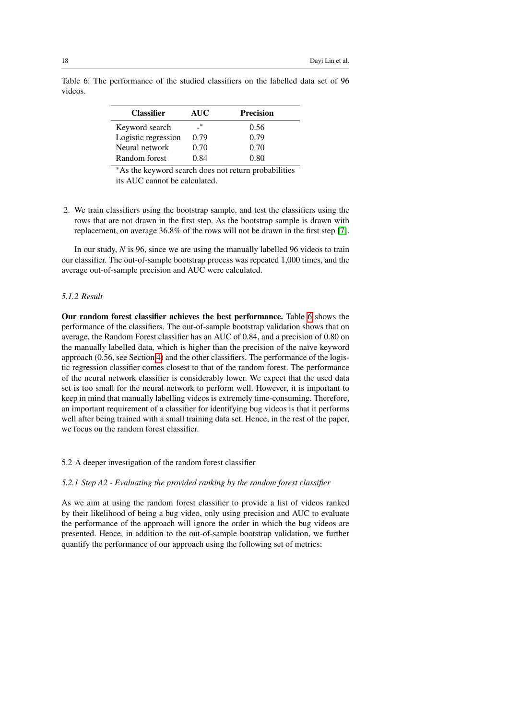| <b>Classifier</b>   | <b>AUC</b> | <b>Precision</b> |
|---------------------|------------|------------------|
| Keyword search      | *          | 0.56             |
| Logistic regression | 0.79       | 0.79             |
| Neural network      | 0.70       | 0.70             |
| Random forest       | 0.84       | 0.80             |

<span id="page-17-0"></span>Table 6: The performance of the studied classifiers on the labelled data set of 96 videos.

<sup>∗</sup>As the keyword search does not return probabilities its AUC cannot be calculated.

2. We train classifiers using the bootstrap sample, and test the classifiers using the rows that are not drawn in the first step. As the bootstrap sample is drawn with replacement, on average 36.8% of the rows will not be drawn in the first step [\[7\]](#page-28-5).

In our study, *N* is 96, since we are using the manually labelled 96 videos to train our classifier. The out-of-sample bootstrap process was repeated 1,000 times, and the average out-of-sample precision and AUC were calculated.

# *5.1.2 Result*

Our random forest classifier achieves the best performance. Table [6](#page-17-0) shows the performance of the classifiers. The out-of-sample bootstrap validation shows that on average, the Random Forest classifier has an AUC of 0.84, and a precision of 0.80 on the manually labelled data, which is higher than the precision of the naïve keyword approach (0.56, see Section [4\)](#page-7-0) and the other classifiers. The performance of the logistic regression classifier comes closest to that of the random forest. The performance of the neural network classifier is considerably lower. We expect that the used data set is too small for the neural network to perform well. However, it is important to keep in mind that manually labelling videos is extremely time-consuming. Therefore, an important requirement of a classifier for identifying bug videos is that it performs well after being trained with a small training data set. Hence, in the rest of the paper, we focus on the random forest classifier.

5.2 A deeper investigation of the random forest classifier

# *5.2.1 Step A2 - Evaluating the provided ranking by the random forest classifier*

As we aim at using the random forest classifier to provide a list of videos ranked by their likelihood of being a bug video, only using precision and AUC to evaluate the performance of the approach will ignore the order in which the bug videos are presented. Hence, in addition to the out-of-sample bootstrap validation, we further quantify the performance of our approach using the following set of metrics: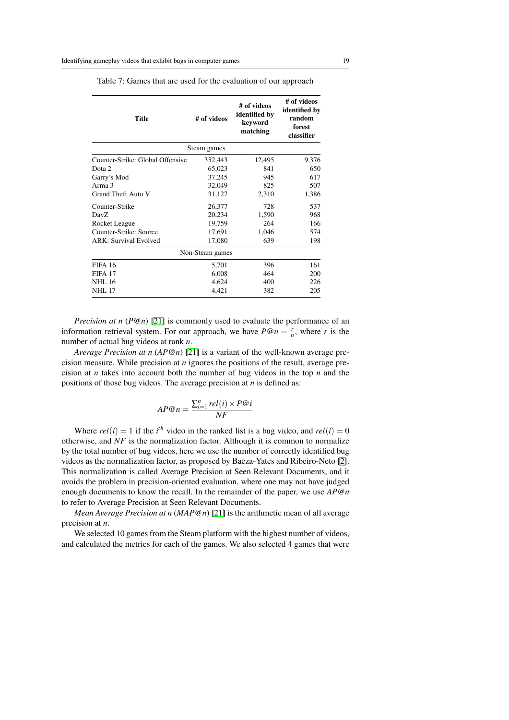| # of videos | # of videos<br>identified by<br>keyword<br>matching | # of videos<br>identified by<br>random<br>forest<br>classifier |  |
|-------------|-----------------------------------------------------|----------------------------------------------------------------|--|
| Steam games |                                                     |                                                                |  |
| 352,443     | 12,495                                              | 9,376                                                          |  |
| 65,023      | 841                                                 | 650                                                            |  |
| 37,245      | 945                                                 | 617                                                            |  |
| 32,049      | 825                                                 | 507                                                            |  |
| 31,127      | 2,310                                               | 1,386                                                          |  |
| 26,377      | 728                                                 | 537                                                            |  |
| 20,234      | 1,590                                               | 968                                                            |  |
| 19,759      | 264                                                 | 166                                                            |  |
| 17,691      | 1,046                                               | 574                                                            |  |
| 17,080      | 639                                                 | 198                                                            |  |
|             |                                                     |                                                                |  |
| 5,701       | 396                                                 | 161                                                            |  |
| 6,008       | 464                                                 | 200                                                            |  |
| 4,624       | 400                                                 | 226                                                            |  |
| 4,421       | 382                                                 | 205                                                            |  |
|             |                                                     | Non-Steam games                                                |  |

<span id="page-18-0"></span>Table 7: Games that are used for the evaluation of our approach

*Precision at n* (*P*<sup>@</sup>*n*) [\[21\]](#page-29-10) is commonly used to evaluate the performance of an information retrieval system. For our approach, we have  $P@n = \frac{r}{n}$ , where *r* is the number of actual bug videos at rank *n*.

*Average Precision at n* (*AP*@*n*) [\[21\]](#page-29-10) is a variant of the well-known average precision measure. While precision at *n* ignores the positions of the result, average precision at *n* takes into account both the number of bug videos in the top *n* and the positions of those bug videos. The average precision at *n* is defined as:

$$
AP@n = \frac{\sum_{i=1}^{n} rel(i) \times P@i}{NF}
$$

Where  $rel(i) = 1$  if the *i*<sup>th</sup> video in the ranked list is a bug video, and  $rel(i) = 0$ otherwise, and *NF* is the normalization factor. Although it is common to normalize by the total number of bug videos, here we use the number of correctly identified bug videos as the normalization factor, as proposed by Baeza-Yates and Ribeiro-Neto [\[2\]](#page-27-2). This normalization is called Average Precision at Seen Relevant Documents, and it avoids the problem in precision-oriented evaluation, where one may not have judged enough documents to know the recall. In the remainder of the paper, we use *AP*@*n* to refer to Average Precision at Seen Relevant Documents.

*Mean Average Precision at n* (*MAP*@*n*) [\[21\]](#page-29-10) is the arithmetic mean of all average precision at *n*.

We selected 10 games from the Steam platform with the highest number of videos, and calculated the metrics for each of the games. We also selected 4 games that were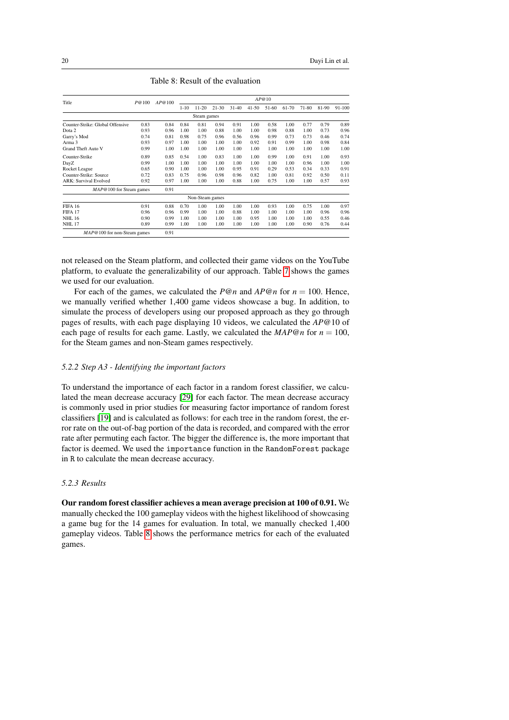<span id="page-19-0"></span>

| Title                            | P@100 | AP@100 | AP@10    |                 |           |           |           |       |       |       |       |            |
|----------------------------------|-------|--------|----------|-----------------|-----------|-----------|-----------|-------|-------|-------|-------|------------|
|                                  |       |        | $1 - 10$ | $11-20$         | $21 - 30$ | $31 - 40$ | $41 - 50$ | 51-60 | 61-70 | 71-80 | 81-90 | $91 - 100$ |
|                                  |       |        |          | Steam games     |           |           |           |       |       |       |       |            |
| Counter-Strike: Global Offensive | 0.83  | 0.84   | 0.84     | 0.81            | 0.94      | 0.91      | 1.00      | 0.58  | 1.00  | 0.77  | 0.79  | 0.89       |
| Dota 2                           | 0.93  | 0.96   | 1.00     | 1.00            | 0.88      | 1.00      | 1.00      | 0.98  | 0.88  | 1.00  | 0.73  | 0.96       |
| Garry's Mod                      | 0.74  | 0.81   | 0.98     | 0.75            | 0.96      | 0.56      | 0.96      | 0.99  | 0.73  | 0.73  | 0.46  | 0.74       |
| Arma 3                           | 0.93  | 0.97   | 1.00     | 1.00            | 1.00      | 1.00      | 0.92      | 0.91  | 0.99  | 1.00  | 0.98  | 0.84       |
| <b>Grand Theft Auto V</b>        | 0.99  | 1.00   | 1.00     | 1.00            | 1.00      | 1.00      | 1.00      | 1.00  | 1.00  | 1.00  | 1.00  | 1.00       |
| Counter-Strike                   | 0.89  | 0.85   | 0.54     | 1.00            | 0.83      | 1.00      | 1.00      | 0.99  | 1.00  | 0.91  | 1.00  | 0.93       |
| DayZ                             | 0.99  | 1.00   | 1.00     | 1.00            | 1.00      | 1.00      | 1.00      | 1.00  | 1.00  | 0.96  | 1.00  | 1.00       |
| Rocket League                    | 0.65  | 0.90   | 1.00     | 1.00            | 1.00      | 0.95      | 0.91      | 0.29  | 0.53  | 0.34  | 0.33  | 0.91       |
| Counter-Strike: Source           | 0.72  | 0.83   | 0.75     | 0.96            | 0.98      | 0.96      | 0.82      | 1.00  | 0.81  | 0.92  | 0.50  | 0.11       |
| <b>ARK: Survival Evolved</b>     | 0.92  | 0.97   | 1.00     | 1.00            | 1.00      | 0.88      | 1.00      | 0.75  | 1.00  | 1.00  | 0.57  | 0.93       |
| MAP@100 for Steam games          |       | 0.91   |          |                 |           |           |           |       |       |       |       |            |
|                                  |       |        |          | Non-Steam games |           |           |           |       |       |       |       |            |
| <b>FIFA 16</b>                   | 0.91  | 0.88   | 0.70     | 1.00            | 1.00      | 1.00      | 1.00      | 0.93  | 1.00  | 0.75  | 1.00  | 0.97       |
| FIFA 17                          | 0.96  | 0.96   | 0.99     | 1.00            | 1.00      | 0.88      | 1.00      | 1.00  | 1.00  | 1.00  | 0.96  | 0.96       |
| <b>NHL 16</b>                    | 0.90  | 0.99   | 1.00     | 1.00            | 1.00      | 1.00      | 0.95      | 1.00  | 1.00  | 1.00  | 0.55  | 0.46       |
| <b>NHL 17</b>                    | 0.89  | 0.99   | 1.00     | 1.00            | 1.00      | 1.00      | 1.00      | 1.00  | 1.00  | 0.90  | 0.76  | 0.44       |
| $MAP@100$ for non-Steam games    |       | 0.91   |          |                 |           |           |           |       |       |       |       |            |

Table 8: Result of the evaluation

not released on the Steam platform, and collected their game videos on the YouTube platform, to evaluate the generalizability of our approach. Table [7](#page-18-0) shows the games we used for our evaluation.

For each of the games, we calculated the  $P@n$  and  $AP@n$  for  $n = 100$ . Hence, we manually verified whether 1,400 game videos showcase a bug. In addition, to simulate the process of developers using our proposed approach as they go through pages of results, with each page displaying 10 videos, we calculated the *AP*@10 of each page of results for each game. Lastly, we calculated the  $MAP@n$  for  $n = 100$ , for the Steam games and non-Steam games respectively.

# *5.2.2 Step A3 - Identifying the important factors*

To understand the importance of each factor in a random forest classifier, we calculated the mean decrease accuracy [\[29\]](#page-29-11) for each factor. The mean decrease accuracy is commonly used in prior studies for measuring factor importance of random forest classifiers [\[19\]](#page-28-6) and is calculated as follows: for each tree in the random forest, the error rate on the out-of-bag portion of the data is recorded, and compared with the error rate after permuting each factor. The bigger the difference is, the more important that factor is deemed. We used the importance function in the RandomForest package in R to calculate the mean decrease accuracy.

# *5.2.3 Results*

Our random forest classifier achieves a mean average precision at 100 of 0.91. We manually checked the 100 gameplay videos with the highest likelihood of showcasing a game bug for the 14 games for evaluation. In total, we manually checked 1,400 gameplay videos. Table [8](#page-19-0) shows the performance metrics for each of the evaluated games.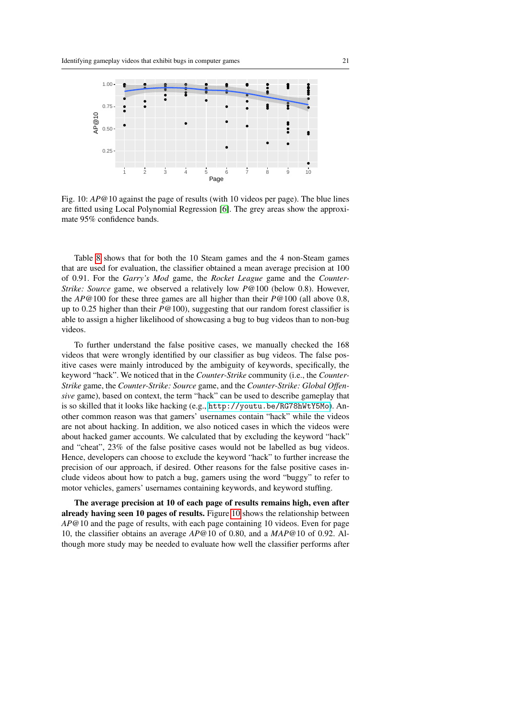<span id="page-20-0"></span>

Fig. 10: *AP*@10 against the page of results (with 10 videos per page). The blue lines are fitted using Local Polynomial Regression [\[6\]](#page-28-7). The grey areas show the approximate 95% confidence bands.

Table [8](#page-19-0) shows that for both the 10 Steam games and the 4 non-Steam games that are used for evaluation, the classifier obtained a mean average precision at 100 of 0.91. For the *Garry's Mod* game, the *Rocket League* game and the *Counter-Strike: Source* game, we observed a relatively low *P*@100 (below 0.8). However, the *AP*@100 for these three games are all higher than their *P*@100 (all above 0.8, up to 0.25 higher than their *P*@100), suggesting that our random forest classifier is able to assign a higher likelihood of showcasing a bug to bug videos than to non-bug videos.

To further understand the false positive cases, we manually checked the 168 videos that were wrongly identified by our classifier as bug videos. The false positive cases were mainly introduced by the ambiguity of keywords, specifically, the keyword "hack". We noticed that in the *Counter-Strike* community (i.e., the *Counter-Strike* game, the *Counter-Strike: Source* game, and the *Counter-Strike: Global Offensive* game), based on context, the term "hack" can be used to describe gameplay that is so skilled that it looks like hacking (e.g., <http://youtu.be/RG78hWtY5Mo>). Another common reason was that gamers' usernames contain "hack" while the videos are not about hacking. In addition, we also noticed cases in which the videos were about hacked gamer accounts. We calculated that by excluding the keyword "hack" and "cheat", 23% of the false positive cases would not be labelled as bug videos. Hence, developers can choose to exclude the keyword "hack" to further increase the precision of our approach, if desired. Other reasons for the false positive cases include videos about how to patch a bug, gamers using the word "buggy" to refer to motor vehicles, gamers' usernames containing keywords, and keyword stuffing.

The average precision at 10 of each page of results remains high, even after already having seen 10 pages of results. Figure [10](#page-20-0) shows the relationship between *AP*@10 and the page of results, with each page containing 10 videos. Even for page 10, the classifier obtains an average *AP*@10 of 0.80, and a *MAP*@10 of 0.92. Although more study may be needed to evaluate how well the classifier performs after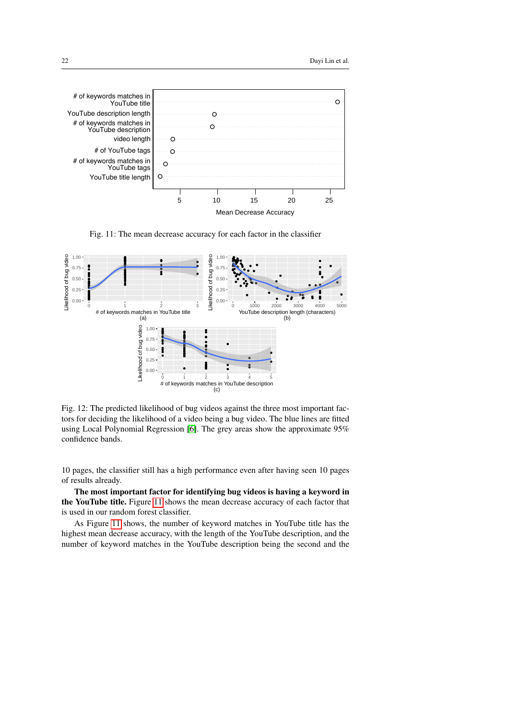<span id="page-21-0"></span>

Fig. 11: The mean decrease accuracy for each factor in the classifier

<span id="page-21-1"></span>

Fig. 12: The predicted likelihood of bug videos against the three most important factors for deciding the likelihood of a video being a bug video. The blue lines are fitted using Local Polynomial Regression [\[6\]](#page-28-7). The grey areas show the approximate 95% confidence bands.

10 pages, the classifier still has a high performance even after having seen 10 pages of results already.

The most important factor for identifying bug videos is having a keyword in the YouTube title. Figure [11](#page-21-0) shows the mean decrease accuracy of each factor that is used in our random forest classifier.

As Figure [11](#page-21-0) shows, the number of keyword matches in YouTube title has the highest mean decrease accuracy, with the length of the YouTube description, and the number of keyword matches in the YouTube description being the second and the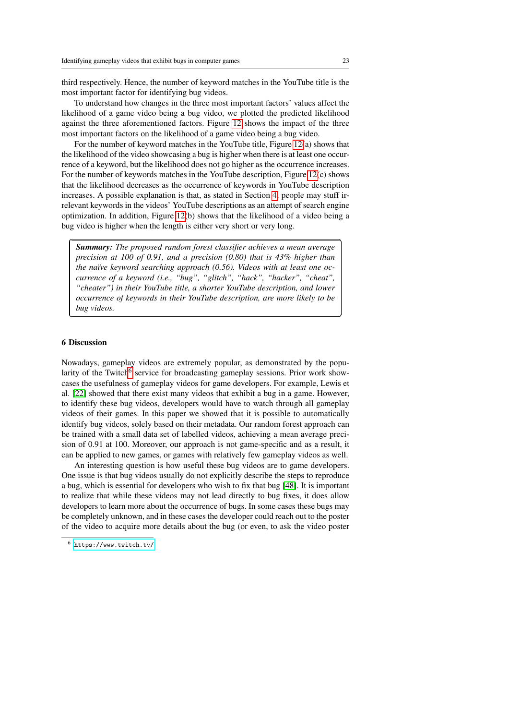third respectively. Hence, the number of keyword matches in the YouTube title is the most important factor for identifying bug videos.

To understand how changes in the three most important factors' values affect the likelihood of a game video being a bug video, we plotted the predicted likelihood against the three aforementioned factors. Figure [12](#page-21-1) shows the impact of the three most important factors on the likelihood of a game video being a bug video.

For the number of keyword matches in the YouTube title, Figure [12\(](#page-21-1)a) shows that the likelihood of the video showcasing a bug is higher when there is at least one occurrence of a keyword, but the likelihood does not go higher as the occurrence increases. For the number of keywords matches in the YouTube description, Figure [12\(](#page-21-1)c) shows that the likelihood decreases as the occurrence of keywords in YouTube description increases. A possible explanation is that, as stated in Section [4,](#page-7-0) people may stuff irrelevant keywords in the videos' YouTube descriptions as an attempt of search engine optimization. In addition, Figure [12\(](#page-21-1)b) shows that the likelihood of a video being a bug video is higher when the length is either very short or very long.

*Summary: The proposed random forest classifier achieves a mean average precision at 100 of 0.91, and a precision (0.80) that is 43% higher than the naïve keyword searching approach (0.56). Videos with at least one occurrence of a keyword (i.e., "bug", "glitch", "hack", "hacker", "cheat", "cheater") in their YouTube title, a shorter YouTube description, and lower occurrence of keywords in their YouTube description, are more likely to be bug videos.*

## <span id="page-22-0"></span>6 Discussion

✄

 $\overline{a}$ 

Nowadays, gameplay videos are extremely popular, as demonstrated by the popu-larity of the Twitch<sup>[6](#page-22-1)</sup> service for broadcasting gameplay sessions. Prior work showcases the usefulness of gameplay videos for game developers. For example, Lewis et al. [\[22\]](#page-29-4) showed that there exist many videos that exhibit a bug in a game. However, to identify these bug videos, developers would have to watch through all gameplay videos of their games. In this paper we showed that it is possible to automatically identify bug videos, solely based on their metadata. Our random forest approach can be trained with a small data set of labelled videos, achieving a mean average precision of 0.91 at 100. Moreover, our approach is not game-specific and as a result, it can be applied to new games, or games with relatively few gameplay videos as well.

An interesting question is how useful these bug videos are to game developers. One issue is that bug videos usually do not explicitly describe the steps to reproduce a bug, which is essential for developers who wish to fix that bug [\[48\]](#page-30-8). It is important to realize that while these videos may not lead directly to bug fixes, it does allow developers to learn more about the occurrence of bugs. In some cases these bugs may be completely unknown, and in these cases the developer could reach out to the poster of the video to acquire more details about the bug (or even, to ask the video poster

Ĭ.

✁

<span id="page-22-1"></span> $6$  <https://www.twitch.tv/>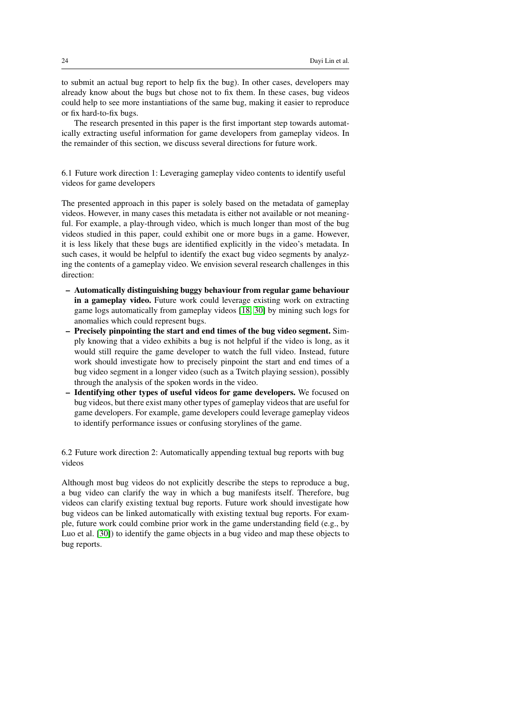to submit an actual bug report to help fix the bug). In other cases, developers may already know about the bugs but chose not to fix them. In these cases, bug videos could help to see more instantiations of the same bug, making it easier to reproduce or fix hard-to-fix bugs.

The research presented in this paper is the first important step towards automatically extracting useful information for game developers from gameplay videos. In the remainder of this section, we discuss several directions for future work.

6.1 Future work direction 1: Leveraging gameplay video contents to identify useful videos for game developers

The presented approach in this paper is solely based on the metadata of gameplay videos. However, in many cases this metadata is either not available or not meaningful. For example, a play-through video, which is much longer than most of the bug videos studied in this paper, could exhibit one or more bugs in a game. However, it is less likely that these bugs are identified explicitly in the video's metadata. In such cases, it would be helpful to identify the exact bug video segments by analyzing the contents of a gameplay video. We envision several research challenges in this direction:

- Automatically distinguishing buggy behaviour from regular game behaviour in a gameplay video. Future work could leverage existing work on extracting game logs automatically from gameplay videos [\[18,](#page-28-8) [30\]](#page-29-12) by mining such logs for anomalies which could represent bugs.
- Precisely pinpointing the start and end times of the bug video segment. Simply knowing that a video exhibits a bug is not helpful if the video is long, as it would still require the game developer to watch the full video. Instead, future work should investigate how to precisely pinpoint the start and end times of a bug video segment in a longer video (such as a Twitch playing session), possibly through the analysis of the spoken words in the video.
- Identifying other types of useful videos for game developers. We focused on bug videos, but there exist many other types of gameplay videos that are useful for game developers. For example, game developers could leverage gameplay videos to identify performance issues or confusing storylines of the game.

6.2 Future work direction 2: Automatically appending textual bug reports with bug videos

Although most bug videos do not explicitly describe the steps to reproduce a bug, a bug video can clarify the way in which a bug manifests itself. Therefore, bug videos can clarify existing textual bug reports. Future work should investigate how bug videos can be linked automatically with existing textual bug reports. For example, future work could combine prior work in the game understanding field (e.g., by Luo et al. [\[30\]](#page-29-12)) to identify the game objects in a bug video and map these objects to bug reports.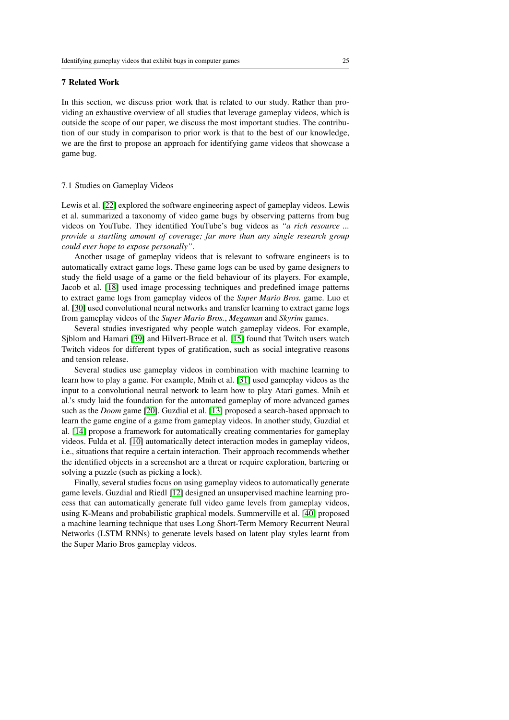# <span id="page-24-0"></span>7 Related Work

In this section, we discuss prior work that is related to our study. Rather than providing an exhaustive overview of all studies that leverage gameplay videos, which is outside the scope of our paper, we discuss the most important studies. The contribution of our study in comparison to prior work is that to the best of our knowledge, we are the first to propose an approach for identifying game videos that showcase a game bug.

# 7.1 Studies on Gameplay Videos

Lewis et al. [\[22\]](#page-29-4) explored the software engineering aspect of gameplay videos. Lewis et al. summarized a taxonomy of video game bugs by observing patterns from bug videos on YouTube. They identified YouTube's bug videos as *"a rich resource ... provide a startling amount of coverage; far more than any single research group could ever hope to expose personally"*.

Another usage of gameplay videos that is relevant to software engineers is to automatically extract game logs. These game logs can be used by game designers to study the field usage of a game or the field behaviour of its players. For example, Jacob et al. [\[18\]](#page-28-8) used image processing techniques and predefined image patterns to extract game logs from gameplay videos of the *Super Mario Bros.* game. Luo et al. [\[30\]](#page-29-12) used convolutional neural networks and transfer learning to extract game logs from gameplay videos of the *Super Mario Bros.*, *Megaman* and *Skyrim* games.

Several studies investigated why people watch gameplay videos. For example, Sjblom and Hamari [\[39\]](#page-30-9) and Hilvert-Bruce et al. [\[15\]](#page-28-9) found that Twitch users watch Twitch videos for different types of gratification, such as social integrative reasons and tension release.

Several studies use gameplay videos in combination with machine learning to learn how to play a game. For example, Mnih et al. [\[31\]](#page-29-13) used gameplay videos as the input to a convolutional neural network to learn how to play Atari games. Mnih et al.'s study laid the foundation for the automated gameplay of more advanced games such as the *Doom* game [\[20\]](#page-29-14). Guzdial et al. [\[13\]](#page-28-10) proposed a search-based approach to learn the game engine of a game from gameplay videos. In another study, Guzdial et al. [\[14\]](#page-28-11) propose a framework for automatically creating commentaries for gameplay videos. Fulda et al. [\[10\]](#page-28-12) automatically detect interaction modes in gameplay videos, i.e., situations that require a certain interaction. Their approach recommends whether the identified objects in a screenshot are a threat or require exploration, bartering or solving a puzzle (such as picking a lock).

Finally, several studies focus on using gameplay videos to automatically generate game levels. Guzdial and Riedl [\[12\]](#page-28-13) designed an unsupervised machine learning process that can automatically generate full video game levels from gameplay videos, using K-Means and probabilistic graphical models. Summerville et al. [\[40\]](#page-30-10) proposed a machine learning technique that uses Long Short-Term Memory Recurrent Neural Networks (LSTM RNNs) to generate levels based on latent play styles learnt from the Super Mario Bros gameplay videos.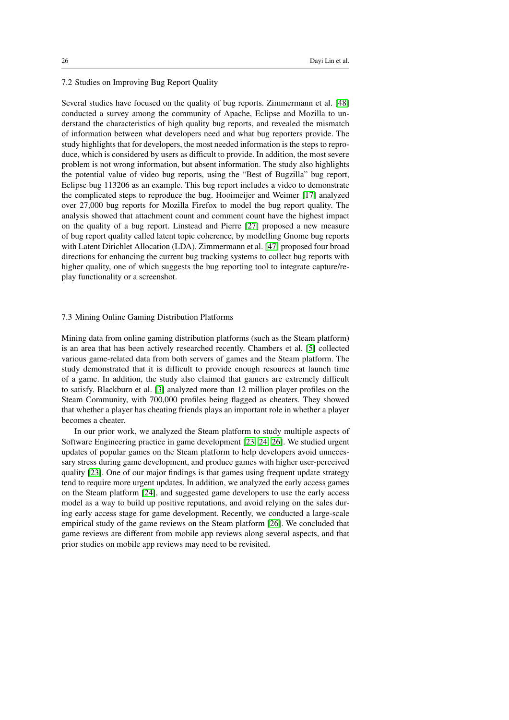# 7.2 Studies on Improving Bug Report Quality

Several studies have focused on the quality of bug reports. Zimmermann et al. [\[48\]](#page-30-8) conducted a survey among the community of Apache, Eclipse and Mozilla to understand the characteristics of high quality bug reports, and revealed the mismatch of information between what developers need and what bug reporters provide. The study highlights that for developers, the most needed information is the steps to reproduce, which is considered by users as difficult to provide. In addition, the most severe problem is not wrong information, but absent information. The study also highlights the potential value of video bug reports, using the "Best of Bugzilla" bug report, Eclipse bug 113206 as an example. This bug report includes a video to demonstrate the complicated steps to reproduce the bug. Hooimeijer and Weimer [\[17\]](#page-28-14) analyzed over 27,000 bug reports for Mozilla Firefox to model the bug report quality. The analysis showed that attachment count and comment count have the highest impact on the quality of a bug report. Linstead and Pierre [\[27\]](#page-29-15) proposed a new measure of bug report quality called latent topic coherence, by modelling Gnome bug reports with Latent Dirichlet Allocation (LDA). Zimmermann et al. [\[47\]](#page-30-11) proposed four broad directions for enhancing the current bug tracking systems to collect bug reports with higher quality, one of which suggests the bug reporting tool to integrate capture/replay functionality or a screenshot.

### 7.3 Mining Online Gaming Distribution Platforms

Mining data from online gaming distribution platforms (such as the Steam platform) is an area that has been actively researched recently. Chambers et al. [\[5\]](#page-28-15) collected various game-related data from both servers of games and the Steam platform. The study demonstrated that it is difficult to provide enough resources at launch time of a game. In addition, the study also claimed that gamers are extremely difficult to satisfy. Blackburn et al. [\[3\]](#page-28-16) analyzed more than 12 million player profiles on the Steam Community, with 700,000 profiles being flagged as cheaters. They showed that whether a player has cheating friends plays an important role in whether a player becomes a cheater.

In our prior work, we analyzed the Steam platform to study multiple aspects of Software Engineering practice in game development [\[23,](#page-29-2) [24,](#page-29-16) [26\]](#page-29-5). We studied urgent updates of popular games on the Steam platform to help developers avoid unnecessary stress during game development, and produce games with higher user-perceived quality [\[23\]](#page-29-2). One of our major findings is that games using frequent update strategy tend to require more urgent updates. In addition, we analyzed the early access games on the Steam platform [\[24\]](#page-29-16), and suggested game developers to use the early access model as a way to build up positive reputations, and avoid relying on the sales during early access stage for game development. Recently, we conducted a large-scale empirical study of the game reviews on the Steam platform [\[26\]](#page-29-5). We concluded that game reviews are different from mobile app reviews along several aspects, and that prior studies on mobile app reviews may need to be revisited.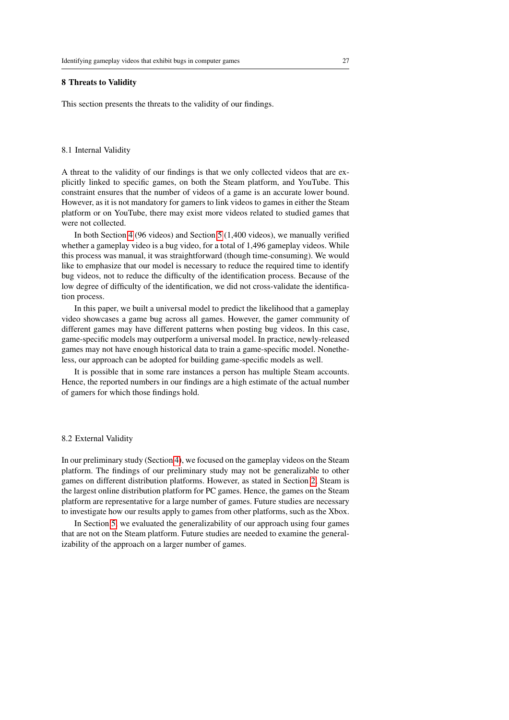# <span id="page-26-0"></span>8 Threats to Validity

This section presents the threats to the validity of our findings.

#### 8.1 Internal Validity

A threat to the validity of our findings is that we only collected videos that are explicitly linked to specific games, on both the Steam platform, and YouTube. This constraint ensures that the number of videos of a game is an accurate lower bound. However, as it is not mandatory for gamers to link videos to games in either the Steam platform or on YouTube, there may exist more videos related to studied games that were not collected.

In both Section [4](#page-7-0) (96 videos) and Section [5](#page-13-0) (1,400 videos), we manually verified whether a gameplay video is a bug video, for a total of 1,496 gameplay videos. While this process was manual, it was straightforward (though time-consuming). We would like to emphasize that our model is necessary to reduce the required time to identify bug videos, not to reduce the difficulty of the identification process. Because of the low degree of difficulty of the identification, we did not cross-validate the identification process.

In this paper, we built a universal model to predict the likelihood that a gameplay video showcases a game bug across all games. However, the gamer community of different games may have different patterns when posting bug videos. In this case, game-specific models may outperform a universal model. In practice, newly-released games may not have enough historical data to train a game-specific model. Nonetheless, our approach can be adopted for building game-specific models as well.

It is possible that in some rare instances a person has multiple Steam accounts. Hence, the reported numbers in our findings are a high estimate of the actual number of gamers for which those findings hold.

#### 8.2 External Validity

In our preliminary study (Section [4\)](#page-7-0), we focused on the gameplay videos on the Steam platform. The findings of our preliminary study may not be generalizable to other games on different distribution platforms. However, as stated in Section [2,](#page-2-0) Steam is the largest online distribution platform for PC games. Hence, the games on the Steam platform are representative for a large number of games. Future studies are necessary to investigate how our results apply to games from other platforms, such as the Xbox.

In Section [5,](#page-13-0) we evaluated the generalizability of our approach using four games that are not on the Steam platform. Future studies are needed to examine the generalizability of the approach on a larger number of games.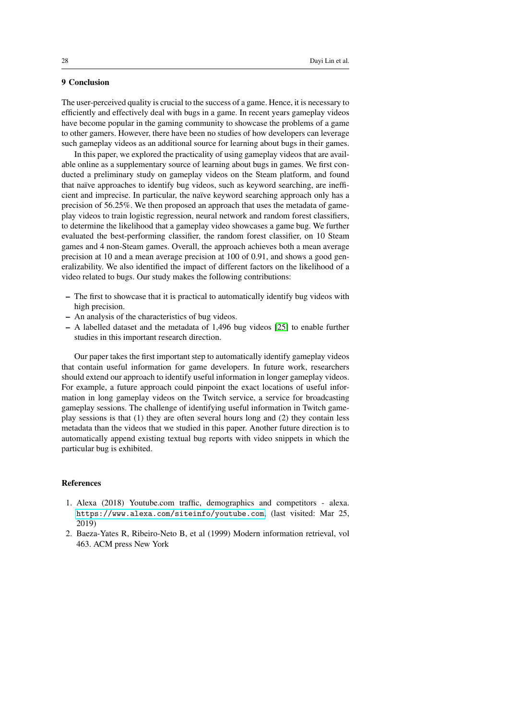# <span id="page-27-0"></span>9 Conclusion

The user-perceived quality is crucial to the success of a game. Hence, it is necessary to efficiently and effectively deal with bugs in a game. In recent years gameplay videos have become popular in the gaming community to showcase the problems of a game to other gamers. However, there have been no studies of how developers can leverage such gameplay videos as an additional source for learning about bugs in their games.

In this paper, we explored the practicality of using gameplay videos that are available online as a supplementary source of learning about bugs in games. We first conducted a preliminary study on gameplay videos on the Steam platform, and found that naïve approaches to identify bug videos, such as keyword searching, are inefficient and imprecise. In particular, the naïve keyword searching approach only has a precision of 56.25%. We then proposed an approach that uses the metadata of gameplay videos to train logistic regression, neural network and random forest classifiers, to determine the likelihood that a gameplay video showcases a game bug. We further evaluated the best-performing classifier, the random forest classifier, on 10 Steam games and 4 non-Steam games. Overall, the approach achieves both a mean average precision at 10 and a mean average precision at 100 of 0.91, and shows a good generalizability. We also identified the impact of different factors on the likelihood of a video related to bugs. Our study makes the following contributions:

- The first to showcase that it is practical to automatically identify bug videos with high precision.
- An analysis of the characteristics of bug videos.
- A labelled dataset and the metadata of 1,496 bug videos [\[25\]](#page-29-6) to enable further studies in this important research direction.

Our paper takes the first important step to automatically identify gameplay videos that contain useful information for game developers. In future work, researchers should extend our approach to identify useful information in longer gameplay videos. For example, a future approach could pinpoint the exact locations of useful information in long gameplay videos on the Twitch service, a service for broadcasting gameplay sessions. The challenge of identifying useful information in Twitch gameplay sessions is that (1) they are often several hours long and (2) they contain less metadata than the videos that we studied in this paper. Another future direction is to automatically append existing textual bug reports with video snippets in which the particular bug is exhibited.

# References

- <span id="page-27-1"></span>1. Alexa (2018) Youtube.com traffic, demographics and competitors - alexa. <https://www.alexa.com/siteinfo/youtube.com>, (last visited: Mar 25, 2019)
- <span id="page-27-2"></span>2. Baeza-Yates R, Ribeiro-Neto B, et al (1999) Modern information retrieval, vol 463. ACM press New York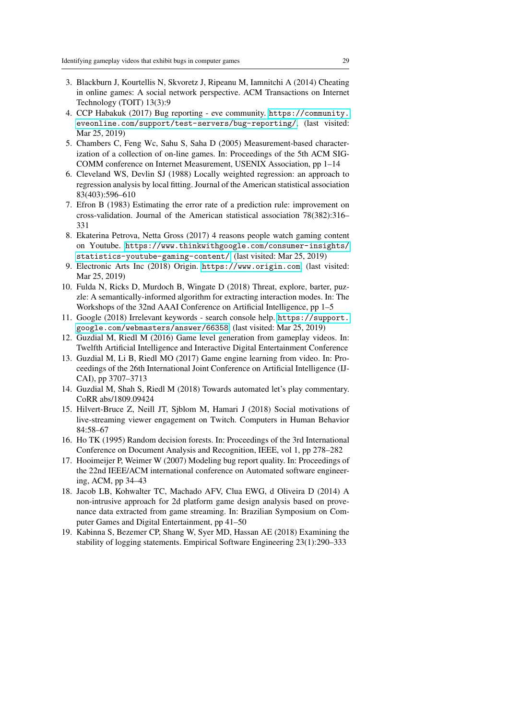- <span id="page-28-16"></span>3. Blackburn J, Kourtellis N, Skvoretz J, Ripeanu M, Iamnitchi A (2014) Cheating in online games: A social network perspective. ACM Transactions on Internet Technology (TOIT) 13(3):9
- <span id="page-28-0"></span>4. CCP Habakuk (2017) Bug reporting - eve community. [https://community.](https://community.eveonline.com/support/test-servers/bug-reporting/) [eveonline.com/support/test-servers/bug-reporting/](https://community.eveonline.com/support/test-servers/bug-reporting/), (last visited: Mar 25, 2019)
- <span id="page-28-15"></span>5. Chambers C, Feng Wc, Sahu S, Saha D (2005) Measurement-based characterization of a collection of on-line games. In: Proceedings of the 5th ACM SIG-COMM conference on Internet Measurement, USENIX Association, pp 1–14
- <span id="page-28-7"></span>6. Cleveland WS, Devlin SJ (1988) Locally weighted regression: an approach to regression analysis by local fitting. Journal of the American statistical association 83(403):596–610
- <span id="page-28-5"></span>7. Efron B (1983) Estimating the error rate of a prediction rule: improvement on cross-validation. Journal of the American statistical association 78(382):316– 331
- <span id="page-28-1"></span>8. Ekaterina Petrova, Netta Gross (2017) 4 reasons people watch gaming content on Youtube. [https://www.thinkwithgoogle.com/consumer-insights/](https://www.thinkwithgoogle.com/consumer-insights/statistics-youtube-gaming-content/) [statistics-youtube-gaming-content/](https://www.thinkwithgoogle.com/consumer-insights/statistics-youtube-gaming-content/), (last visited: Mar 25, 2019)
- <span id="page-28-2"></span>9. Electronic Arts Inc (2018) Origin. <https://www.origin.com>, (last visited: Mar 25, 2019)
- <span id="page-28-12"></span>10. Fulda N, Ricks D, Murdoch B, Wingate D (2018) Threat, explore, barter, puzzle: A semantically-informed algorithm for extracting interaction modes. In: The Workshops of the 32nd AAAI Conference on Artificial Intelligence, pp 1–5
- <span id="page-28-4"></span>11. Google (2018) Irrelevant keywords - search console help. [https://support.](https://support.google.com/webmasters/answer/66358) [google.com/webmasters/answer/66358](https://support.google.com/webmasters/answer/66358), (last visited: Mar 25, 2019)
- <span id="page-28-13"></span>12. Guzdial M, Riedl M (2016) Game level generation from gameplay videos. In: Twelfth Artificial Intelligence and Interactive Digital Entertainment Conference
- <span id="page-28-10"></span>13. Guzdial M, Li B, Riedl MO (2017) Game engine learning from video. In: Proceedings of the 26th International Joint Conference on Artificial Intelligence (IJ-CAI), pp 3707–3713
- <span id="page-28-11"></span>14. Guzdial M, Shah S, Riedl M (2018) Towards automated let's play commentary. CoRR abs/1809.09424
- <span id="page-28-9"></span>15. Hilvert-Bruce Z, Neill JT, Sjblom M, Hamari J (2018) Social motivations of live-streaming viewer engagement on Twitch. Computers in Human Behavior 84:58–67
- <span id="page-28-3"></span>16. Ho TK (1995) Random decision forests. In: Proceedings of the 3rd International Conference on Document Analysis and Recognition, IEEE, vol 1, pp 278–282
- <span id="page-28-14"></span>17. Hooimeijer P, Weimer W (2007) Modeling bug report quality. In: Proceedings of the 22nd IEEE/ACM international conference on Automated software engineering, ACM, pp 34–43
- <span id="page-28-8"></span>18. Jacob LB, Kohwalter TC, Machado AFV, Clua EWG, d Oliveira D (2014) A non-intrusive approach for 2d platform game design analysis based on provenance data extracted from game streaming. In: Brazilian Symposium on Computer Games and Digital Entertainment, pp 41–50
- <span id="page-28-6"></span>19. Kabinna S, Bezemer CP, Shang W, Syer MD, Hassan AE (2018) Examining the stability of logging statements. Empirical Software Engineering 23(1):290–333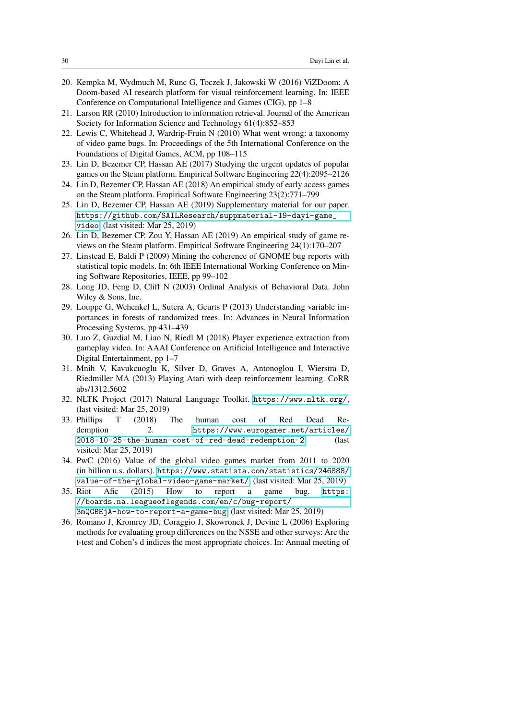- <span id="page-29-14"></span>20. Kempka M, Wydmuch M, Runc G, Toczek J, Jakowski W (2016) ViZDoom: A Doom-based AI research platform for visual reinforcement learning. In: IEEE Conference on Computational Intelligence and Games (CIG), pp 1–8
- <span id="page-29-10"></span>21. Larson RR (2010) Introduction to information retrieval. Journal of the American Society for Information Science and Technology 61(4):852–853
- <span id="page-29-4"></span>22. Lewis C, Whitehead J, Wardrip-Fruin N (2010) What went wrong: a taxonomy of video game bugs. In: Proceedings of the 5th International Conference on the Foundations of Digital Games, ACM, pp 108–115
- <span id="page-29-2"></span>23. Lin D, Bezemer CP, Hassan AE (2017) Studying the urgent updates of popular games on the Steam platform. Empirical Software Engineering 22(4):2095–2126
- <span id="page-29-16"></span>24. Lin D, Bezemer CP, Hassan AE (2018) An empirical study of early access games on the Steam platform. Empirical Software Engineering 23(2):771–799
- <span id="page-29-6"></span>25. Lin D, Bezemer CP, Hassan AE (2019) Supplementary material for our paper. [https://github.com/SAILResearch/suppmaterial-19-dayi-game\\_](https://github.com/SAILResearch/suppmaterial-19-dayi-game_video) [video](https://github.com/SAILResearch/suppmaterial-19-dayi-game_video), (last visited: Mar 25, 2019)
- <span id="page-29-5"></span>26. Lin D, Bezemer CP, Zou Y, Hassan AE (2019) An empirical study of game reviews on the Steam platform. Empirical Software Engineering 24(1):170–207
- <span id="page-29-15"></span>27. Linstead E, Baldi P (2009) Mining the coherence of GNOME bug reports with statistical topic models. In: 6th IEEE International Working Conference on Mining Software Repositories, IEEE, pp 99–102
- <span id="page-29-7"></span>28. Long JD, Feng D, Cliff N (2003) Ordinal Analysis of Behavioral Data. John Wiley & Sons, Inc.
- <span id="page-29-11"></span>29. Louppe G, Wehenkel L, Sutera A, Geurts P (2013) Understanding variable importances in forests of randomized trees. In: Advances in Neural Information Processing Systems, pp 431–439
- <span id="page-29-12"></span>30. Luo Z, Guzdial M, Liao N, Riedl M (2018) Player experience extraction from gameplay video. In: AAAI Conference on Artificial Intelligence and Interactive Digital Entertainment, pp 1–7
- <span id="page-29-13"></span>31. Mnih V, Kavukcuoglu K, Silver D, Graves A, Antonoglou I, Wierstra D, Riedmiller MA (2013) Playing Atari with deep reinforcement learning. CoRR abs/1312.5602
- <span id="page-29-9"></span>32. NLTK Project (2017) Natural Language Toolkit. <https://www.nltk.org/>, (last visited: Mar 25, 2019)
- <span id="page-29-1"></span>33. Phillips T (2018) The human cost of Red Dead Redemption 2. [https://www.eurogamer.net/articles/](https://www.eurogamer.net/articles/2018-10-25-the-human-cost-of-red-dead-redemption-2) [2018-10-25-the-human-cost-of-red-dead-redemption-2](https://www.eurogamer.net/articles/2018-10-25-the-human-cost-of-red-dead-redemption-2), (last visited: Mar 25, 2019)
- <span id="page-29-0"></span>34. PwC (2016) Value of the global video games market from 2011 to 2020 (in billion u.s. dollars). [https://www.statista.com/statistics/246888/](https://www.statista.com/statistics/246888/value-of-the-global-video-game-market/) [value-of-the-global-video-game-market/](https://www.statista.com/statistics/246888/value-of-the-global-video-game-market/), (last visited: Mar 25, 2019)
- <span id="page-29-3"></span>35. Riot Afic (2015) How to report a game bug. [https:](https://boards.na.leagueoflegends.com/en/c/bug-report/3mQGBEjA-how-to-report-a-game-bug) [//boards.na.leagueoflegends.com/en/c/bug-report/](https://boards.na.leagueoflegends.com/en/c/bug-report/3mQGBEjA-how-to-report-a-game-bug) [3mQGBEjA-how-to-report-a-game-bug](https://boards.na.leagueoflegends.com/en/c/bug-report/3mQGBEjA-how-to-report-a-game-bug), (last visited: Mar 25, 2019)
- <span id="page-29-8"></span>36. Romano J, Kromrey JD, Coraggio J, Skowronek J, Devine L (2006) Exploring methods for evaluating group differences on the NSSE and other surveys: Are the t-test and Cohen's d indices the most appropriate choices. In: Annual meeting of